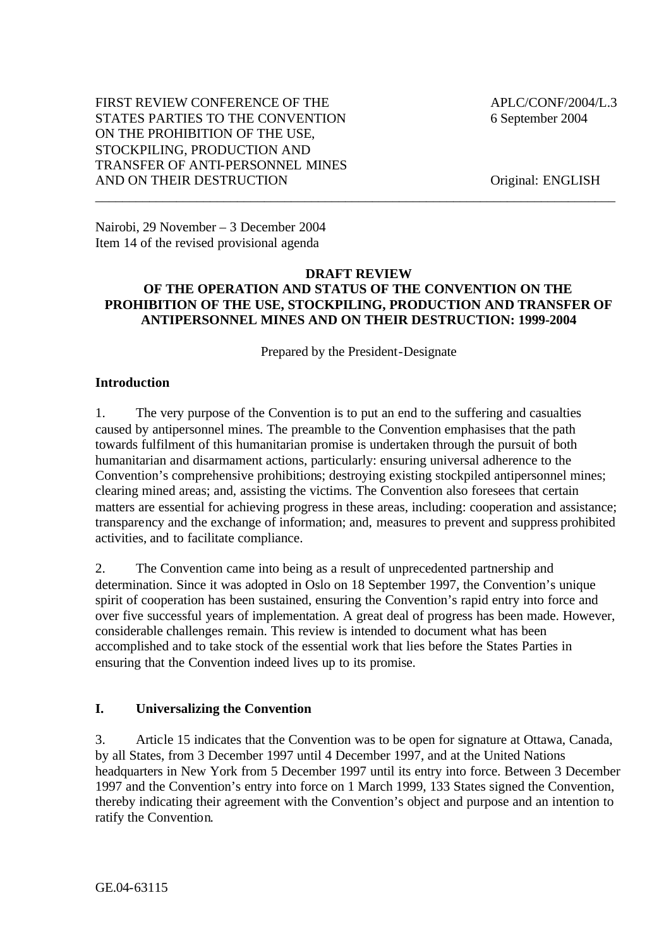## FIRST REVIEW CONFERENCE OF THE  $APLC/CONF/2004/L.3$ STATES PARTIES TO THE CONVENTION 6 September 2004 ON THE PROHIBITION OF THE USE, STOCKPILING, PRODUCTION AND TRANSFER OF ANTI-PERSONNEL MINES AND ON THEIR DESTRUCTION Original: ENGLISH

Nairobi, 29 November – 3 December 2004 Item 14 of the revised provisional agenda

#### **DRAFT REVIEW OF THE OPERATION AND STATUS OF THE CONVENTION ON THE PROHIBITION OF THE USE, STOCKPILING, PRODUCTION AND TRANSFER OF ANTIPERSONNEL MINES AND ON THEIR DESTRUCTION: 1999-2004**

\_\_\_\_\_\_\_\_\_\_\_\_\_\_\_\_\_\_\_\_\_\_\_\_\_\_\_\_\_\_\_\_\_\_\_\_\_\_\_\_\_\_\_\_\_\_\_\_\_\_\_\_\_\_\_\_\_\_\_\_\_\_\_\_\_\_\_\_\_\_\_\_\_\_\_\_\_

Prepared by the President-Designate

## **Introduction**

1. The very purpose of the Convention is to put an end to the suffering and casualties caused by antipersonnel mines. The preamble to the Convention emphasises that the path towards fulfilment of this humanitarian promise is undertaken through the pursuit of both humanitarian and disarmament actions, particularly: ensuring universal adherence to the Convention's comprehensive prohibitions; destroying existing stockpiled antipersonnel mines; clearing mined areas; and, assisting the victims. The Convention also foresees that certain matters are essential for achieving progress in these areas, including: cooperation and assistance; transparency and the exchange of information; and, measures to prevent and suppress prohibited activities, and to facilitate compliance.

2. The Convention came into being as a result of unprecedented partnership and determination. Since it was adopted in Oslo on 18 September 1997, the Convention's unique spirit of cooperation has been sustained, ensuring the Convention's rapid entry into force and over five successful years of implementation. A great deal of progress has been made. However, considerable challenges remain. This review is intended to document what has been accomplished and to take stock of the essential work that lies before the States Parties in ensuring that the Convention indeed lives up to its promise.

## **I. Universalizing the Convention**

3. Article 15 indicates that the Convention was to be open for signature at Ottawa, Canada, by all States, from 3 December 1997 until 4 December 1997, and at the United Nations headquarters in New York from 5 December 1997 until its entry into force. Between 3 December 1997 and the Convention's entry into force on 1 March 1999, 133 States signed the Convention, thereby indicating their agreement with the Convention's object and purpose and an intention to ratify the Convention.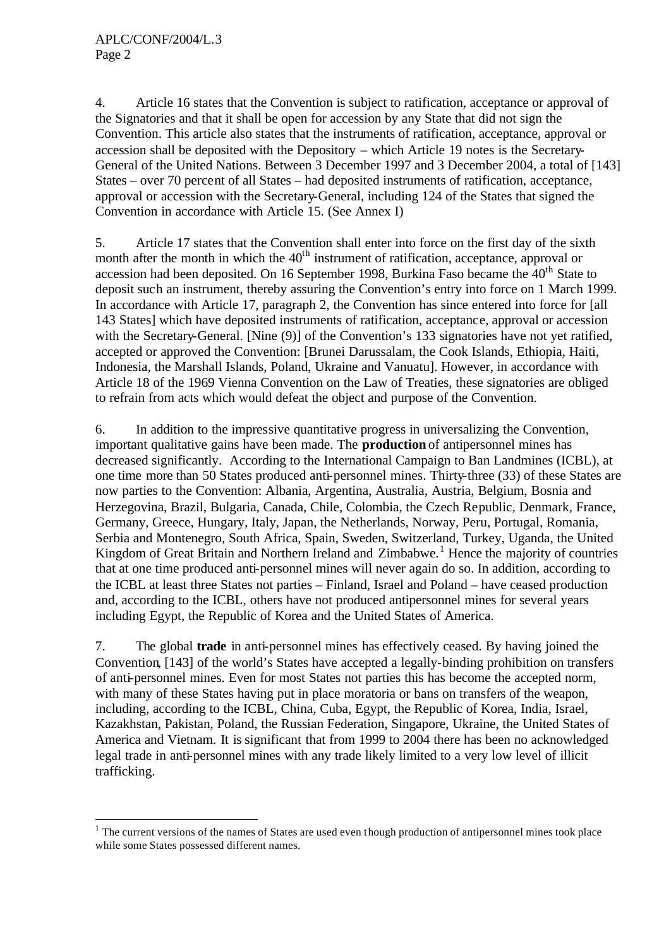l

4. Article 16 states that the Convention is subject to ratification, acceptance or approval of the Signatories and that it shall be open for accession by any State that did not sign the Convention. This article also states that the instruments of ratification, acceptance, approval or accession shall be deposited with the Depository – which Article 19 notes is the Secretary-General of the United Nations. Between 3 December 1997 and 3 December 2004, a total of [143] States – over 70 percent of all States – had deposited instruments of ratification, acceptance, approval or accession with the Secretary-General, including 124 of the States that signed the Convention in accordance with Article 15. (See Annex I)

5. Article 17 states that the Convention shall enter into force on the first day of the sixth month after the month in which the  $40<sup>th</sup>$  instrument of ratification, acceptance, approval or accession had been deposited. On 16 September 1998, Burkina Faso became the 40<sup>th</sup> State to deposit such an instrument, thereby assuring the Convention's entry into force on 1 March 1999. In accordance with Article 17, paragraph 2, the Convention has since entered into force for [all 143 States] which have deposited instruments of ratification, acceptance, approval or accession with the Secretary-General. [Nine (9)] of the Convention's 133 signatories have not yet ratified, accepted or approved the Convention: [Brunei Darussalam, the Cook Islands, Ethiopia, Haiti, Indonesia, the Marshall Islands, Poland, Ukraine and Vanuatu]. However, in accordance with Article 18 of the 1969 Vienna Convention on the Law of Treaties, these signatories are obliged to refrain from acts which would defeat the object and purpose of the Convention.

6. In addition to the impressive quantitative progress in universalizing the Convention, important qualitative gains have been made. The **production** of antipersonnel mines has decreased significantly. According to the International Campaign to Ban Landmines (ICBL), at one time more than 50 States produced anti-personnel mines. Thirty-three (33) of these States are now parties to the Convention: Albania, Argentina, Australia, Austria, Belgium, Bosnia and Herzegovina, Brazil, Bulgaria, Canada, Chile, Colombia, the Czech Republic, Denmark, France, Germany, Greece, Hungary, Italy, Japan, the Netherlands, Norway, Peru, Portugal, Romania, Serbia and Montenegro, South Africa, Spain, Sweden, Switzerland, Turkey, Uganda, the United Kingdom of Great Britain and Northern Ireland and Zimbabwe.<sup>1</sup> Hence the majority of countries that at one time produced anti-personnel mines will never again do so. In addition, according to the ICBL at least three States not parties – Finland, Israel and Poland – have ceased production and, according to the ICBL, others have not produced antipersonnel mines for several years including Egypt, the Republic of Korea and the United States of America.

7. The global **trade** in anti-personnel mines has effectively ceased. By having joined the Convention, [143] of the world's States have accepted a legally-binding prohibition on transfers of anti-personnel mines. Even for most States not parties this has become the accepted norm, with many of these States having put in place moratoria or bans on transfers of the weapon, including, according to the ICBL, China, Cuba, Egypt, the Republic of Korea, India, Israel, Kazakhstan, Pakistan, Poland, the Russian Federation, Singapore, Ukraine, the United States of America and Vietnam. It is significant that from 1999 to 2004 there has been no acknowledged legal trade in anti-personnel mines with any trade likely limited to a very low level of illicit trafficking.

 $1$  The current versions of the names of States are used even though production of antipersonnel mines took place while some States possessed different names.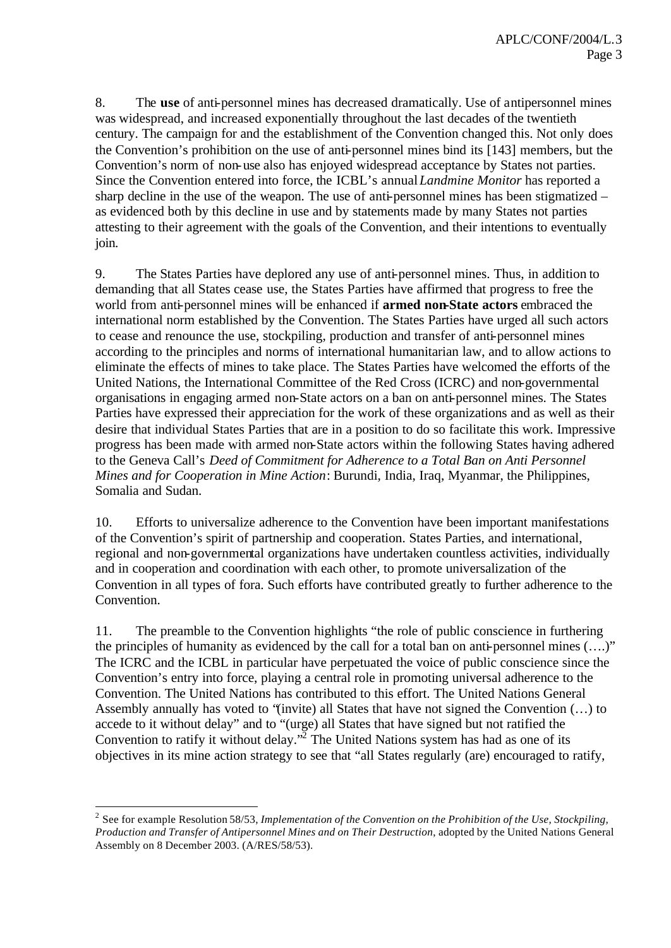8. The **use** of anti-personnel mines has decreased dramatically. Use of antipersonnel mines was widespread, and increased exponentially throughout the last decades of the twentieth century. The campaign for and the establishment of the Convention changed this. Not only does the Convention's prohibition on the use of anti-personnel mines bind its [143] members, but the Convention's norm of non-use also has enjoyed widespread acceptance by States not parties. Since the Convention entered into force, the ICBL's annual*Landmine Monitor* has reported a sharp decline in the use of the weapon. The use of anti-personnel mines has been stigmatized – as evidenced both by this decline in use and by statements made by many States not parties attesting to their agreement with the goals of the Convention, and their intentions to eventually join.

9. The States Parties have deplored any use of anti-personnel mines. Thus, in addition to demanding that all States cease use, the States Parties have affirmed that progress to free the world from anti-personnel mines will be enhanced if **armed non-State actors** embraced the international norm established by the Convention. The States Parties have urged all such actors to cease and renounce the use, stockpiling, production and transfer of anti-personnel mines according to the principles and norms of international humanitarian law, and to allow actions to eliminate the effects of mines to take place. The States Parties have welcomed the efforts of the United Nations, the International Committee of the Red Cross (ICRC) and non-governmental organisations in engaging armed non-State actors on a ban on anti-personnel mines. The States Parties have expressed their appreciation for the work of these organizations and as well as their desire that individual States Parties that are in a position to do so facilitate this work. Impressive progress has been made with armed non-State actors within the following States having adhered to the Geneva Call's *Deed of Commitment for Adherence to a Total Ban on Anti Personnel Mines and for Cooperation in Mine Action*: Burundi, India, Iraq, Myanmar, the Philippines, Somalia and Sudan.

10. Efforts to universalize adherence to the Convention have been important manifestations of the Convention's spirit of partnership and cooperation. States Parties, and international, regional and non-governmental organizations have undertaken countless activities, individually and in cooperation and coordination with each other, to promote universalization of the Convention in all types of fora. Such efforts have contributed greatly to further adherence to the Convention.

11. The preamble to the Convention highlights "the role of public conscience in furthering the principles of humanity as evidenced by the call for a total ban on anti-personnel mines (….)" The ICRC and the ICBL in particular have perpetuated the voice of public conscience since the Convention's entry into force, playing a central role in promoting universal adherence to the Convention. The United Nations has contributed to this effort. The United Nations General Assembly annually has voted to "(invite) all States that have not signed the Convention (…) to accede to it without delay" and to "(urge) all States that have signed but not ratified the Convention to ratify it without delay.<sup> $\overline{2}$ </sup> The United Nations system has had as one of its objectives in its mine action strategy to see that "all States regularly (are) encouraged to ratify,

l

<sup>&</sup>lt;sup>2</sup> See for example Resolution 58/53, *Implementation of the Convention on the Prohibition of the Use, Stockpiling, Production and Transfer of Antipersonnel Mines and on Their Destruction*, adopted by the United Nations General Assembly on 8 December 2003. (A/RES/58/53).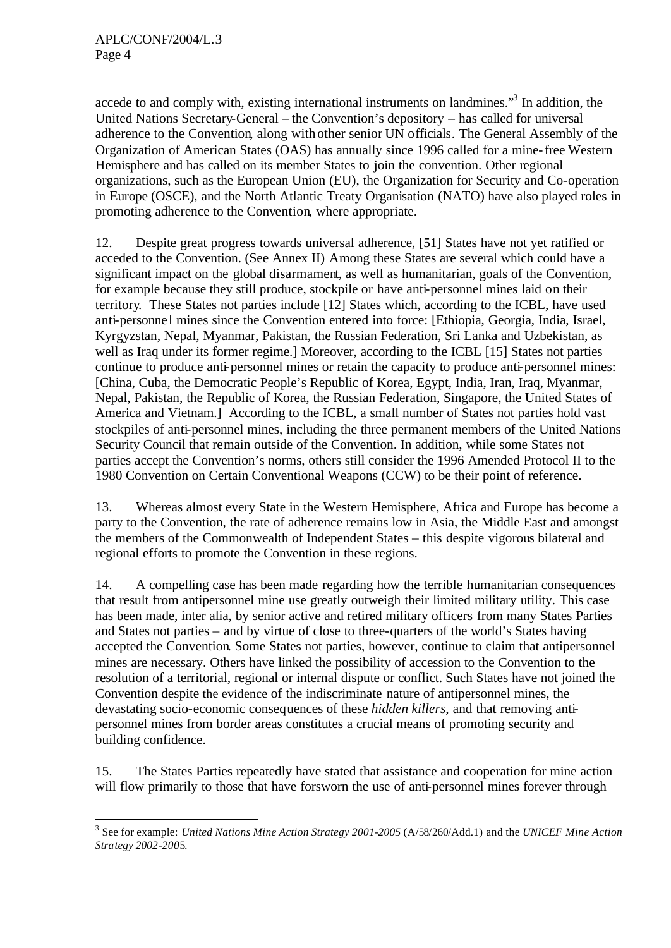l

accede to and comply with, existing international instruments on landmines."<sup>3</sup> In addition, the United Nations Secretary-General – the Convention's depository – has called for universal adherence to the Convention, along with other senior UN officials. The General Assembly of the Organization of American States (OAS) has annually since 1996 called for a mine-free Western Hemisphere and has called on its member States to join the convention. Other regional organizations, such as the European Union (EU), the Organization for Security and Co-operation in Europe (OSCE), and the North Atlantic Treaty Organisation (NATO) have also played roles in promoting adherence to the Convention, where appropriate.

12. Despite great progress towards universal adherence, [51] States have not yet ratified or acceded to the Convention. (See Annex II) Among these States are several which could have a significant impact on the global disarmament, as well as humanitarian, goals of the Convention, for example because they still produce, stockpile or have anti-personnel mines laid on their territory. These States not parties include [12] States which, according to the ICBL, have used anti-personne l mines since the Convention entered into force: [Ethiopia, Georgia, India, Israel, Kyrgyzstan, Nepal, Myanmar, Pakistan, the Russian Federation, Sri Lanka and Uzbekistan, as well as Iraq under its former regime.] Moreover, according to the ICBL [15] States not parties continue to produce anti-personnel mines or retain the capacity to produce anti-personnel mines: [China, Cuba, the Democratic People's Republic of Korea, Egypt, India, Iran, Iraq, Myanmar, Nepal, Pakistan, the Republic of Korea, the Russian Federation, Singapore, the United States of America and Vietnam.] According to the ICBL, a small number of States not parties hold vast stockpiles of anti-personnel mines, including the three permanent members of the United Nations Security Council that remain outside of the Convention. In addition, while some States not parties accept the Convention's norms, others still consider the 1996 Amended Protocol II to the 1980 Convention on Certain Conventional Weapons (CCW) to be their point of reference.

13. Whereas almost every State in the Western Hemisphere, Africa and Europe has become a party to the Convention, the rate of adherence remains low in Asia, the Middle East and amongst the members of the Commonwealth of Independent States – this despite vigorous bilateral and regional efforts to promote the Convention in these regions.

14. A compelling case has been made regarding how the terrible humanitarian consequences that result from antipersonnel mine use greatly outweigh their limited military utility. This case has been made, inter alia, by senior active and retired military officers from many States Parties and States not parties – and by virtue of close to three-quarters of the world's States having accepted the Convention. Some States not parties, however, continue to claim that antipersonnel mines are necessary. Others have linked the possibility of accession to the Convention to the resolution of a territorial, regional or internal dispute or conflict. Such States have not joined the Convention despite the evidence of the indiscriminate nature of antipersonnel mines, the devastating socio-economic consequences of these *hidden killers*, and that removing antipersonnel mines from border areas constitutes a crucial means of promoting security and building confidence.

15. The States Parties repeatedly have stated that assistance and cooperation for mine action will flow primarily to those that have forsworn the use of anti-personnel mines forever through

<sup>3</sup> See for example: *United Nations Mine Action Strategy 2001-2005* (A/58/260/Add.1) and the *UNICEF Mine Action Strategy 2002-200*5*.*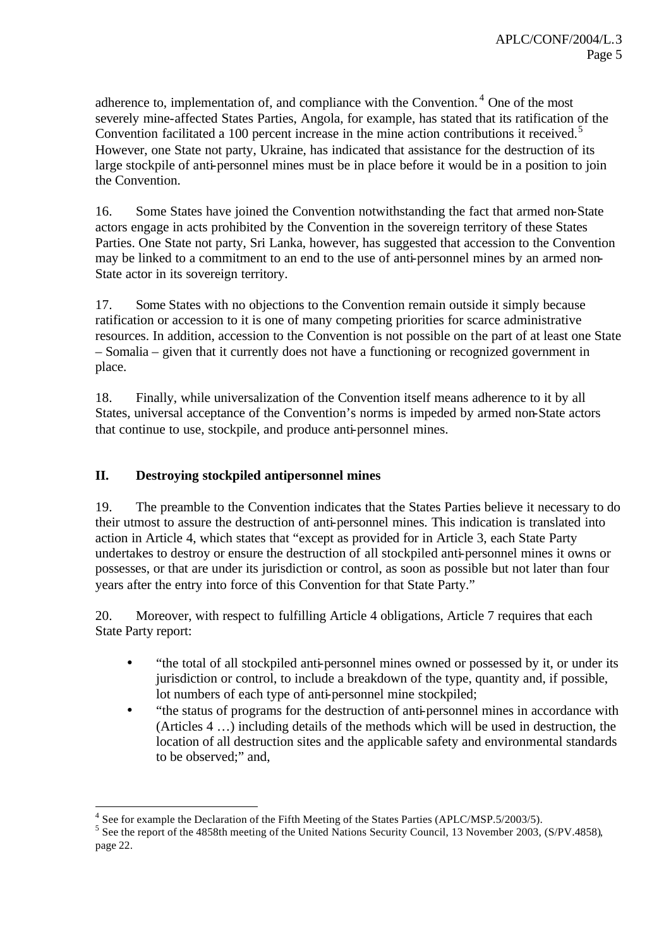adherence to, implementation of, and compliance with the Convention.<sup>4</sup> One of the most severely mine-affected States Parties, Angola, for example, has stated that its ratification of the Convention facilitated a 100 percent increase in the mine action contributions it received.<sup>5</sup> However, one State not party, Ukraine, has indicated that assistance for the destruction of its large stockpile of anti-personnel mines must be in place before it would be in a position to join the Convention.

16. Some States have joined the Convention notwithstanding the fact that armed non-State actors engage in acts prohibited by the Convention in the sovereign territory of these States Parties. One State not party, Sri Lanka, however, has suggested that accession to the Convention may be linked to a commitment to an end to the use of anti-personnel mines by an armed non-State actor in its sovereign territory.

17. Some States with no objections to the Convention remain outside it simply because ratification or accession to it is one of many competing priorities for scarce administrative resources. In addition, accession to the Convention is not possible on the part of at least one State – Somalia – given that it currently does not have a functioning or recognized government in place.

18. Finally, while universalization of the Convention itself means adherence to it by all States, universal acceptance of the Convention's norms is impeded by armed non-State actors that continue to use, stockpile, and produce anti-personnel mines.

## **II. Destroying stockpiled antipersonnel mines**

19. The preamble to the Convention indicates that the States Parties believe it necessary to do their utmost to assure the destruction of anti-personnel mines. This indication is translated into action in Article 4, which states that "except as provided for in Article 3, each State Party undertakes to destroy or ensure the destruction of all stockpiled anti-personnel mines it owns or possesses, or that are under its jurisdiction or control, as soon as possible but not later than four years after the entry into force of this Convention for that State Party."

20. Moreover, with respect to fulfilling Article 4 obligations, Article 7 requires that each State Party report:

- "the total of all stockpiled anti-personnel mines owned or possessed by it, or under its jurisdiction or control, to include a breakdown of the type, quantity and, if possible, lot numbers of each type of anti-personnel mine stockpiled;
- "the status of programs for the destruction of anti-personnel mines in accordance with (Articles 4 …) including details of the methods which will be used in destruction, the location of all destruction sites and the applicable safety and environmental standards to be observed;" and,

l  $4$  See for example the Declaration of the Fifth Meeting of the States Parties (APLC/MSP.5/2003/5).

<sup>&</sup>lt;sup>5</sup> See the report of the 4858th meeting of the United Nations Security Council, 13 November 2003, (S/PV.4858), page 22.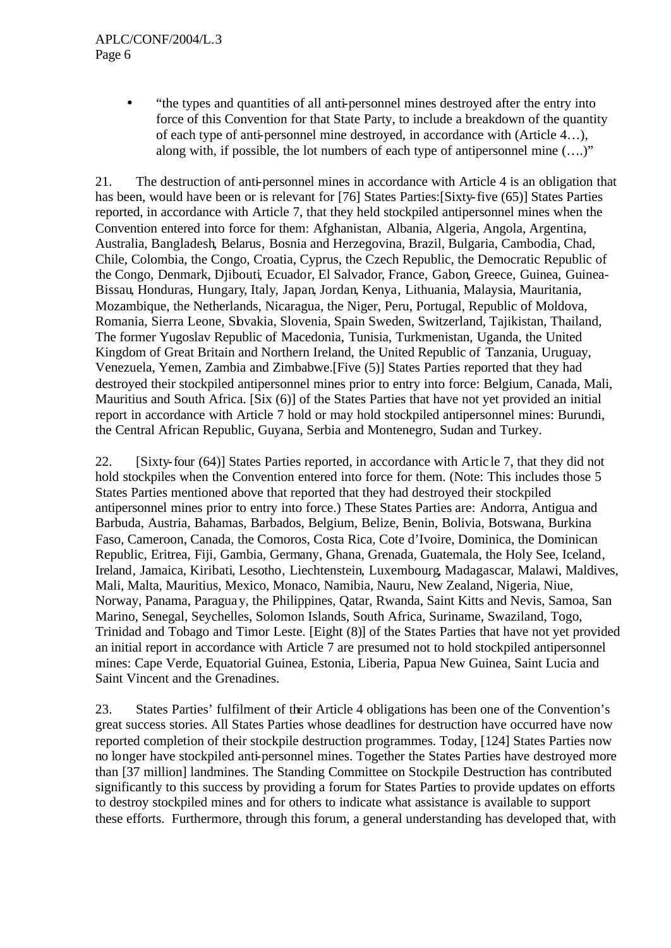#### APLC/CONF/2004/L.3 Page 6

• "the types and quantities of all anti-personnel mines destroyed after the entry into force of this Convention for that State Party, to include a breakdown of the quantity of each type of anti-personnel mine destroyed, in accordance with (Article 4…), along with, if possible, the lot numbers of each type of antipersonnel mine (….)"

21. The destruction of anti-personnel mines in accordance with Article 4 is an obligation that has been, would have been or is relevant for [76] States Parties:[Sixty-five (65)] States Parties reported, in accordance with Article 7, that they held stockpiled antipersonnel mines when the Convention entered into force for them: Afghanistan, Albania, Algeria, Angola, Argentina, Australia, Bangladesh, Belarus, Bosnia and Herzegovina, Brazil, Bulgaria, Cambodia, Chad, Chile, Colombia, the Congo, Croatia, Cyprus, the Czech Republic, the Democratic Republic of the Congo, Denmark, Djibouti, Ecuador, El Salvador, France, Gabon, Greece, Guinea, Guinea-Bissau, Honduras, Hungary, Italy, Japan, Jordan, Kenya, Lithuania, Malaysia, Mauritania, Mozambique, the Netherlands, Nicaragua, the Niger, Peru, Portugal, Republic of Moldova, Romania, Sierra Leone, Slovakia, Slovenia, Spain Sweden, Switzerland, Tajikistan, Thailand, The former Yugoslav Republic of Macedonia, Tunisia, Turkmenistan, Uganda, the United Kingdom of Great Britain and Northern Ireland, the United Republic of Tanzania, Uruguay, Venezuela, Yemen, Zambia and Zimbabwe.[Five (5)] States Parties reported that they had destroyed their stockpiled antipersonnel mines prior to entry into force: Belgium, Canada, Mali, Mauritius and South Africa. [Six (6)] of the States Parties that have not yet provided an initial report in accordance with Article 7 hold or may hold stockpiled antipersonnel mines: Burundi, the Central African Republic, Guyana, Serbia and Montenegro, Sudan and Turkey.

22. [Sixty-four (64)] States Parties reported, in accordance with Artic le 7, that they did not hold stockpiles when the Convention entered into force for them. (Note: This includes those 5 States Parties mentioned above that reported that they had destroyed their stockpiled antipersonnel mines prior to entry into force.) These States Parties are: Andorra, Antigua and Barbuda, Austria, Bahamas, Barbados, Belgium, Belize, Benin, Bolivia, Botswana, Burkina Faso, Cameroon, Canada, the Comoros, Costa Rica, Cote d'Ivoire, Dominica, the Dominican Republic, Eritrea, Fiji, Gambia, Germany, Ghana, Grenada, Guatemala, the Holy See, Iceland, Ireland, Jamaica, Kiribati, Lesotho, Liechtenstein, Luxembourg, Madagascar, Malawi, Maldives, Mali, Malta, Mauritius, Mexico, Monaco, Namibia, Nauru, New Zealand, Nigeria, Niue, Norway, Panama, Paraguay, the Philippines, Qatar, Rwanda, Saint Kitts and Nevis, Samoa, San Marino, Senegal, Seychelles, Solomon Islands, South Africa, Suriname, Swaziland, Togo, Trinidad and Tobago and Timor Leste. [Eight (8)] of the States Parties that have not yet provided an initial report in accordance with Article 7 are presumed not to hold stockpiled antipersonnel mines: Cape Verde, Equatorial Guinea, Estonia, Liberia, Papua New Guinea, Saint Lucia and Saint Vincent and the Grenadines.

23. States Parties' fulfilment of their Article 4 obligations has been one of the Convention's great success stories. All States Parties whose deadlines for destruction have occurred have now reported completion of their stockpile destruction programmes. Today, [124] States Parties now no longer have stockpiled anti-personnel mines. Together the States Parties have destroyed more than [37 million] landmines. The Standing Committee on Stockpile Destruction has contributed significantly to this success by providing a forum for States Parties to provide updates on efforts to destroy stockpiled mines and for others to indicate what assistance is available to support these efforts. Furthermore, through this forum, a general understanding has developed that, with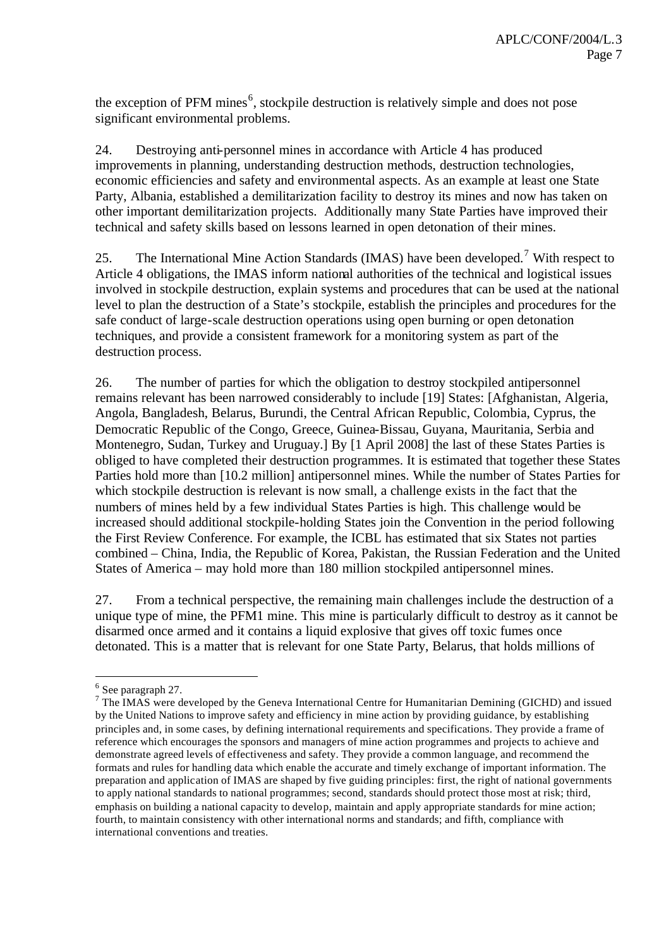the exception of PFM mines<sup>6</sup>, stockpile destruction is relatively simple and does not pose significant environmental problems.

24. Destroying anti-personnel mines in accordance with Article 4 has produced improvements in planning, understanding destruction methods, destruction technologies, economic efficiencies and safety and environmental aspects. As an example at least one State Party, Albania, established a demilitarization facility to destroy its mines and now has taken on other important demilitarization projects. Additionally many State Parties have improved their technical and safety skills based on lessons learned in open detonation of their mines.

25. The International Mine Action Standards (IMAS) have been developed.<sup>7</sup> With respect to Article 4 obligations, the IMAS inform national authorities of the technical and logistical issues involved in stockpile destruction, explain systems and procedures that can be used at the national level to plan the destruction of a State's stockpile, establish the principles and procedures for the safe conduct of large-scale destruction operations using open burning or open detonation techniques, and provide a consistent framework for a monitoring system as part of the destruction process.

26. The number of parties for which the obligation to destroy stockpiled antipersonnel remains relevant has been narrowed considerably to include [19] States: [Afghanistan, Algeria, Angola, Bangladesh, Belarus, Burundi, the Central African Republic, Colombia, Cyprus, the Democratic Republic of the Congo, Greece, Guinea-Bissau, Guyana, Mauritania, Serbia and Montenegro, Sudan, Turkey and Uruguay.] By [1 April 2008] the last of these States Parties is obliged to have completed their destruction programmes. It is estimated that together these States Parties hold more than [10.2 million] antipersonnel mines. While the number of States Parties for which stockpile destruction is relevant is now small, a challenge exists in the fact that the numbers of mines held by a few individual States Parties is high. This challenge would be increased should additional stockpile-holding States join the Convention in the period following the First Review Conference. For example, the ICBL has estimated that six States not parties combined – China, India, the Republic of Korea, Pakistan, the Russian Federation and the United States of America – may hold more than 180 million stockpiled antipersonnel mines.

27. From a technical perspective, the remaining main challenges include the destruction of a unique type of mine, the PFM1 mine. This mine is particularly difficult to destroy as it cannot be disarmed once armed and it contains a liquid explosive that gives off toxic fumes once detonated. This is a matter that is relevant for one State Party, Belarus, that holds millions of

l

<sup>&</sup>lt;sup>6</sup> See paragraph 27.

 $<sup>7</sup>$  The IMAS were developed by the Geneva International Centre for Humanitarian Demining (GICHD) and issued</sup> by the United Nations to improve safety and efficiency in mine action by providing guidance, by establishing principles and, in some cases, by defining international requirements and specifications. They provide a frame of reference which encourages the sponsors and managers of mine action programmes and projects to achieve and demonstrate agreed levels of effectiveness and safety. They provide a common language, and recommend the formats and rules for handling data which enable the accurate and timely exchange of important information. The preparation and application of IMAS are shaped by five guiding principles: first, the right of national governments to apply national standards to national programmes; second, standards should protect those most at risk; third, emphasis on building a national capacity to develop, maintain and apply appropriate standards for mine action; fourth, to maintain consistency with other international norms and standards; and fifth, compliance with international conventions and treaties.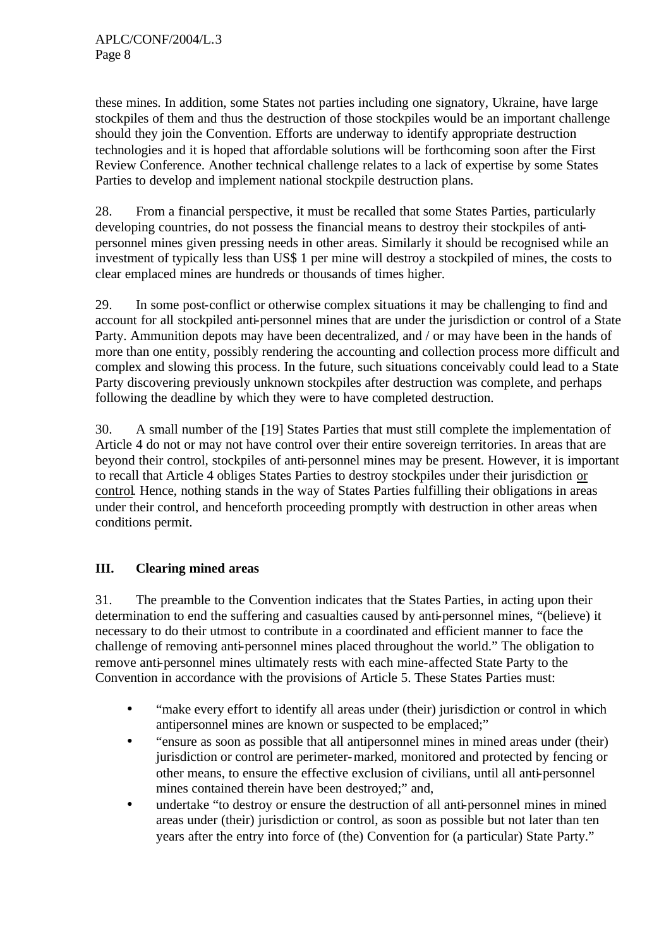these mines. In addition, some States not parties including one signatory, Ukraine, have large stockpiles of them and thus the destruction of those stockpiles would be an important challenge should they join the Convention. Efforts are underway to identify appropriate destruction technologies and it is hoped that affordable solutions will be forthcoming soon after the First Review Conference. Another technical challenge relates to a lack of expertise by some States Parties to develop and implement national stockpile destruction plans.

28. From a financial perspective, it must be recalled that some States Parties, particularly developing countries, do not possess the financial means to destroy their stockpiles of antipersonnel mines given pressing needs in other areas. Similarly it should be recognised while an investment of typically less than US\$ 1 per mine will destroy a stockpiled of mines, the costs to clear emplaced mines are hundreds or thousands of times higher.

29. In some post-conflict or otherwise complex situations it may be challenging to find and account for all stockpiled anti-personnel mines that are under the jurisdiction or control of a State Party. Ammunition depots may have been decentralized, and / or may have been in the hands of more than one entity, possibly rendering the accounting and collection process more difficult and complex and slowing this process. In the future, such situations conceivably could lead to a State Party discovering previously unknown stockpiles after destruction was complete, and perhaps following the deadline by which they were to have completed destruction.

30. A small number of the [19] States Parties that must still complete the implementation of Article 4 do not or may not have control over their entire sovereign territories. In areas that are beyond their control, stockpiles of anti-personnel mines may be present. However, it is important to recall that Article 4 obliges States Parties to destroy stockpiles under their jurisdiction or control. Hence, nothing stands in the way of States Parties fulfilling their obligations in areas under their control, and henceforth proceeding promptly with destruction in other areas when conditions permit.

# **III. Clearing mined areas**

31. The preamble to the Convention indicates that the States Parties, in acting upon their determination to end the suffering and casualties caused by anti-personnel mines, "(believe) it necessary to do their utmost to contribute in a coordinated and efficient manner to face the challenge of removing anti-personnel mines placed throughout the world." The obligation to remove anti-personnel mines ultimately rests with each mine-affected State Party to the Convention in accordance with the provisions of Article 5. These States Parties must:

- "make every effort to identify all areas under (their) jurisdiction or control in which antipersonnel mines are known or suspected to be emplaced;"
- "ensure as soon as possible that all antipersonnel mines in mined areas under (their) jurisdiction or control are perimeter-marked, monitored and protected by fencing or other means, to ensure the effective exclusion of civilians, until all anti-personnel mines contained therein have been destroyed;" and,
- undertake "to destroy or ensure the destruction of all anti-personnel mines in mined areas under (their) jurisdiction or control, as soon as possible but not later than ten years after the entry into force of (the) Convention for (a particular) State Party."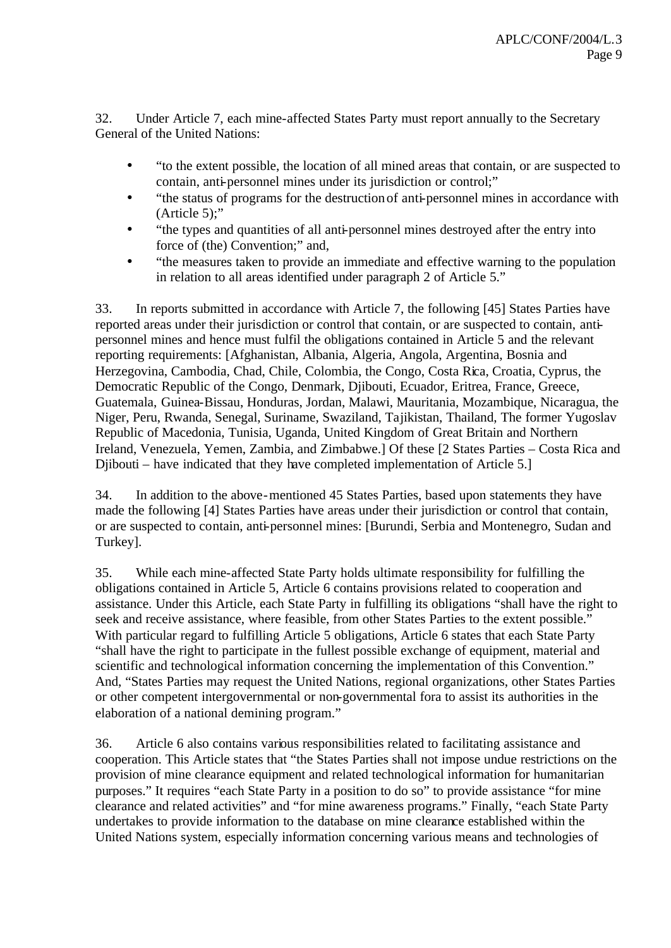32. Under Article 7, each mine-affected States Party must report annually to the Secretary General of the United Nations:

- "to the extent possible, the location of all mined areas that contain, or are suspected to contain, anti-personnel mines under its jurisdiction or control;"
- "the status of programs for the destruction of anti-personnel mines in accordance with (Article 5);"
- "the types and quantities of all anti-personnel mines destroyed after the entry into force of (the) Convention;" and,
- "the measures taken to provide an immediate and effective warning to the population in relation to all areas identified under paragraph 2 of Article 5."

33. In reports submitted in accordance with Article 7, the following [45] States Parties have reported areas under their jurisdiction or control that contain, or are suspected to contain, antipersonnel mines and hence must fulfil the obligations contained in Article 5 and the relevant reporting requirements: [Afghanistan, Albania, Algeria, Angola, Argentina, Bosnia and Herzegovina, Cambodia, Chad, Chile, Colombia, the Congo, Costa Rica, Croatia, Cyprus, the Democratic Republic of the Congo, Denmark, Djibouti, Ecuador, Eritrea, France, Greece, Guatemala, Guinea-Bissau, Honduras, Jordan, Malawi, Mauritania, Mozambique, Nicaragua, the Niger, Peru, Rwanda, Senegal, Suriname, Swaziland, Tajikistan, Thailand, The former Yugoslav Republic of Macedonia, Tunisia, Uganda, United Kingdom of Great Britain and Northern Ireland, Venezuela, Yemen, Zambia, and Zimbabwe.] Of these [2 States Parties – Costa Rica and Djibouti – have indicated that they have completed implementation of Article 5.

34. In addition to the above-mentioned 45 States Parties, based upon statements they have made the following [4] States Parties have areas under their jurisdiction or control that contain, or are suspected to contain, anti-personnel mines: [Burundi, Serbia and Montenegro, Sudan and Turkey].

35. While each mine-affected State Party holds ultimate responsibility for fulfilling the obligations contained in Article 5, Article 6 contains provisions related to cooperation and assistance. Under this Article, each State Party in fulfilling its obligations "shall have the right to seek and receive assistance, where feasible, from other States Parties to the extent possible." With particular regard to fulfilling Article 5 obligations, Article 6 states that each State Party "shall have the right to participate in the fullest possible exchange of equipment, material and scientific and technological information concerning the implementation of this Convention." And, "States Parties may request the United Nations, regional organizations, other States Parties or other competent intergovernmental or non-governmental fora to assist its authorities in the elaboration of a national demining program."

36. Article 6 also contains various responsibilities related to facilitating assistance and cooperation. This Article states that "the States Parties shall not impose undue restrictions on the provision of mine clearance equipment and related technological information for humanitarian purposes." It requires "each State Party in a position to do so" to provide assistance "for mine clearance and related activities" and "for mine awareness programs." Finally, "each State Party undertakes to provide information to the database on mine clearance established within the United Nations system, especially information concerning various means and technologies of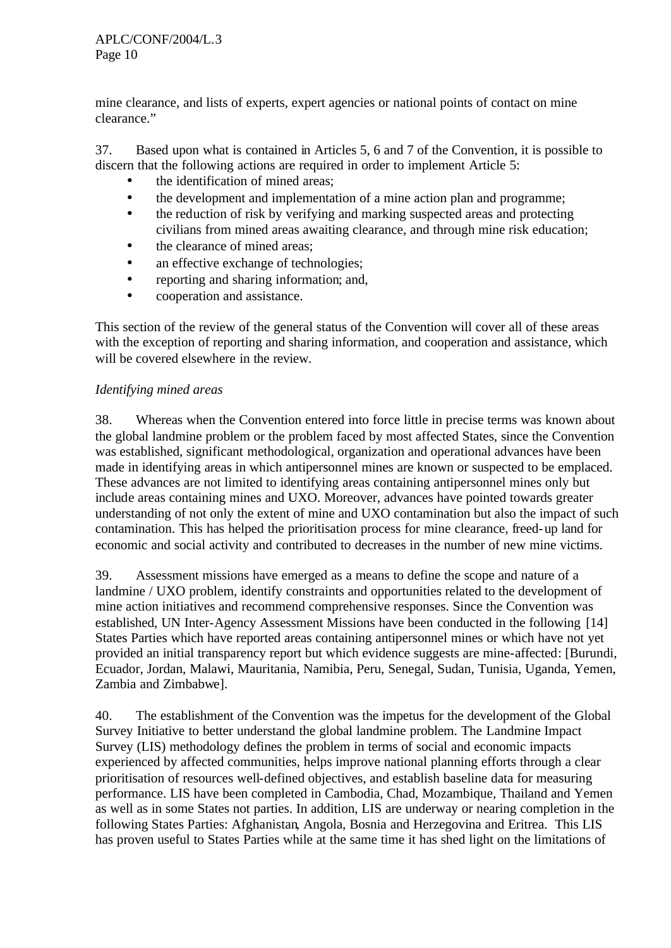mine clearance, and lists of experts, expert agencies or national points of contact on mine clearance."

37. Based upon what is contained in Articles 5, 6 and 7 of the Convention, it is possible to discern that the following actions are required in order to implement Article 5:

- the identification of mined areas;
- the development and implementation of a mine action plan and programme;
- the reduction of risk by verifying and marking suspected areas and protecting civilians from mined areas awaiting clearance, and through mine risk education;
- the clearance of mined areas:
- an effective exchange of technologies;
- reporting and sharing information; and,
- cooperation and assistance.

This section of the review of the general status of the Convention will cover all of these areas with the exception of reporting and sharing information, and cooperation and assistance, which will be covered elsewhere in the review.

## *Identifying mined areas*

38. Whereas when the Convention entered into force little in precise terms was known about the global landmine problem or the problem faced by most affected States, since the Convention was established, significant methodological, organization and operational advances have been made in identifying areas in which antipersonnel mines are known or suspected to be emplaced. These advances are not limited to identifying areas containing antipersonnel mines only but include areas containing mines and UXO. Moreover, advances have pointed towards greater understanding of not only the extent of mine and UXO contamination but also the impact of such contamination. This has helped the prioritisation process for mine clearance, freed-up land for economic and social activity and contributed to decreases in the number of new mine victims.

39. Assessment missions have emerged as a means to define the scope and nature of a landmine / UXO problem, identify constraints and opportunities related to the development of mine action initiatives and recommend comprehensive responses. Since the Convention was established, UN Inter-Agency Assessment Missions have been conducted in the following [14] States Parties which have reported areas containing antipersonnel mines or which have not yet provided an initial transparency report but which evidence suggests are mine-affected: [Burundi, Ecuador, Jordan, Malawi, Mauritania, Namibia, Peru, Senegal, Sudan, Tunisia, Uganda, Yemen, Zambia and Zimbabwe].

40. The establishment of the Convention was the impetus for the development of the Global Survey Initiative to better understand the global landmine problem. The Landmine Impact Survey (LIS) methodology defines the problem in terms of social and economic impacts experienced by affected communities, helps improve national planning efforts through a clear prioritisation of resources well-defined objectives, and establish baseline data for measuring performance. LIS have been completed in Cambodia, Chad, Mozambique, Thailand and Yemen as well as in some States not parties. In addition, LIS are underway or nearing completion in the following States Parties: Afghanistan, Angola, Bosnia and Herzegovina and Eritrea. This LIS has proven useful to States Parties while at the same time it has shed light on the limitations of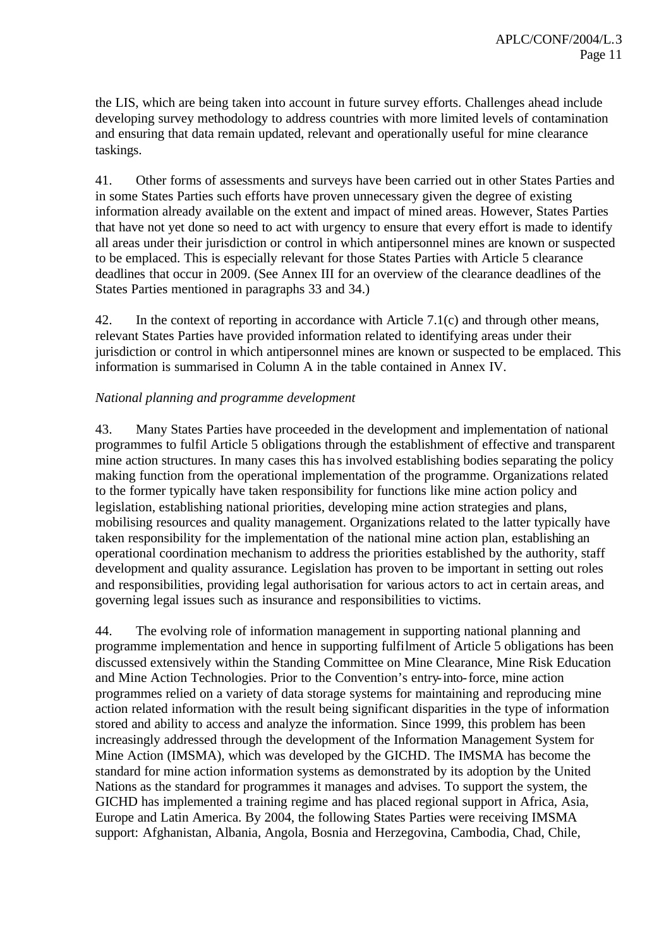the LIS, which are being taken into account in future survey efforts. Challenges ahead include developing survey methodology to address countries with more limited levels of contamination and ensuring that data remain updated, relevant and operationally useful for mine clearance taskings.

41. Other forms of assessments and surveys have been carried out in other States Parties and in some States Parties such efforts have proven unnecessary given the degree of existing information already available on the extent and impact of mined areas. However, States Parties that have not yet done so need to act with urgency to ensure that every effort is made to identify all areas under their jurisdiction or control in which antipersonnel mines are known or suspected to be emplaced. This is especially relevant for those States Parties with Article 5 clearance deadlines that occur in 2009. (See Annex III for an overview of the clearance deadlines of the States Parties mentioned in paragraphs 33 and 34.)

42. In the context of reporting in accordance with Article 7.1(c) and through other means, relevant States Parties have provided information related to identifying areas under their jurisdiction or control in which antipersonnel mines are known or suspected to be emplaced. This information is summarised in Column A in the table contained in Annex IV.

#### *National planning and programme development*

43. Many States Parties have proceeded in the development and implementation of national programmes to fulfil Article 5 obligations through the establishment of effective and transparent mine action structures. In many cases this has involved establishing bodies separating the policy making function from the operational implementation of the programme. Organizations related to the former typically have taken responsibility for functions like mine action policy and legislation, establishing national priorities, developing mine action strategies and plans, mobilising resources and quality management. Organizations related to the latter typically have taken responsibility for the implementation of the national mine action plan, establishing an operational coordination mechanism to address the priorities established by the authority, staff development and quality assurance. Legislation has proven to be important in setting out roles and responsibilities, providing legal authorisation for various actors to act in certain areas, and governing legal issues such as insurance and responsibilities to victims.

44. The evolving role of information management in supporting national planning and programme implementation and hence in supporting fulfilment of Article 5 obligations has been discussed extensively within the Standing Committee on Mine Clearance, Mine Risk Education and Mine Action Technologies. Prior to the Convention's entry-into-force, mine action programmes relied on a variety of data storage systems for maintaining and reproducing mine action related information with the result being significant disparities in the type of information stored and ability to access and analyze the information. Since 1999, this problem has been increasingly addressed through the development of the Information Management System for Mine Action (IMSMA), which was developed by the GICHD. The IMSMA has become the standard for mine action information systems as demonstrated by its adoption by the United Nations as the standard for programmes it manages and advises. To support the system, the GICHD has implemented a training regime and has placed regional support in Africa, Asia, Europe and Latin America. By 2004, the following States Parties were receiving IMSMA support: Afghanistan, Albania, Angola, Bosnia and Herzegovina, Cambodia, Chad, Chile,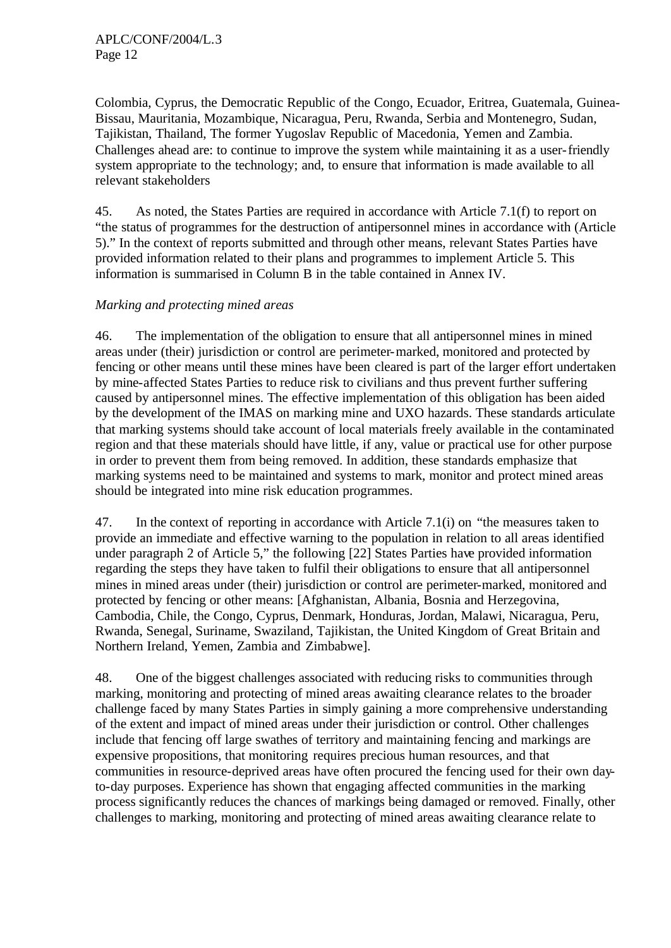Colombia, Cyprus, the Democratic Republic of the Congo, Ecuador, Eritrea, Guatemala, Guinea-Bissau, Mauritania, Mozambique, Nicaragua, Peru, Rwanda, Serbia and Montenegro, Sudan, Tajikistan, Thailand, The former Yugoslav Republic of Macedonia, Yemen and Zambia. Challenges ahead are: to continue to improve the system while maintaining it as a user-friendly system appropriate to the technology; and, to ensure that information is made available to all relevant stakeholders

45. As noted, the States Parties are required in accordance with Article 7.1(f) to report on "the status of programmes for the destruction of antipersonnel mines in accordance with (Article 5)." In the context of reports submitted and through other means, relevant States Parties have provided information related to their plans and programmes to implement Article 5. This information is summarised in Column B in the table contained in Annex IV.

## *Marking and protecting mined areas*

46. The implementation of the obligation to ensure that all antipersonnel mines in mined areas under (their) jurisdiction or control are perimeter-marked, monitored and protected by fencing or other means until these mines have been cleared is part of the larger effort undertaken by mine-affected States Parties to reduce risk to civilians and thus prevent further suffering caused by antipersonnel mines. The effective implementation of this obligation has been aided by the development of the IMAS on marking mine and UXO hazards. These standards articulate that marking systems should take account of local materials freely available in the contaminated region and that these materials should have little, if any, value or practical use for other purpose in order to prevent them from being removed. In addition, these standards emphasize that marking systems need to be maintained and systems to mark, monitor and protect mined areas should be integrated into mine risk education programmes.

47. In the context of reporting in accordance with Article 7.1(i) on "the measures taken to provide an immediate and effective warning to the population in relation to all areas identified under paragraph 2 of Article 5," the following [22] States Parties have provided information regarding the steps they have taken to fulfil their obligations to ensure that all antipersonnel mines in mined areas under (their) jurisdiction or control are perimeter-marked, monitored and protected by fencing or other means: [Afghanistan, Albania, Bosnia and Herzegovina, Cambodia, Chile, the Congo, Cyprus, Denmark, Honduras, Jordan, Malawi, Nicaragua, Peru, Rwanda, Senegal, Suriname, Swaziland, Tajikistan, the United Kingdom of Great Britain and Northern Ireland, Yemen, Zambia and Zimbabwe].

48. One of the biggest challenges associated with reducing risks to communities through marking, monitoring and protecting of mined areas awaiting clearance relates to the broader challenge faced by many States Parties in simply gaining a more comprehensive understanding of the extent and impact of mined areas under their jurisdiction or control. Other challenges include that fencing off large swathes of territory and maintaining fencing and markings are expensive propositions, that monitoring requires precious human resources, and that communities in resource-deprived areas have often procured the fencing used for their own dayto-day purposes. Experience has shown that engaging affected communities in the marking process significantly reduces the chances of markings being damaged or removed. Finally, other challenges to marking, monitoring and protecting of mined areas awaiting clearance relate to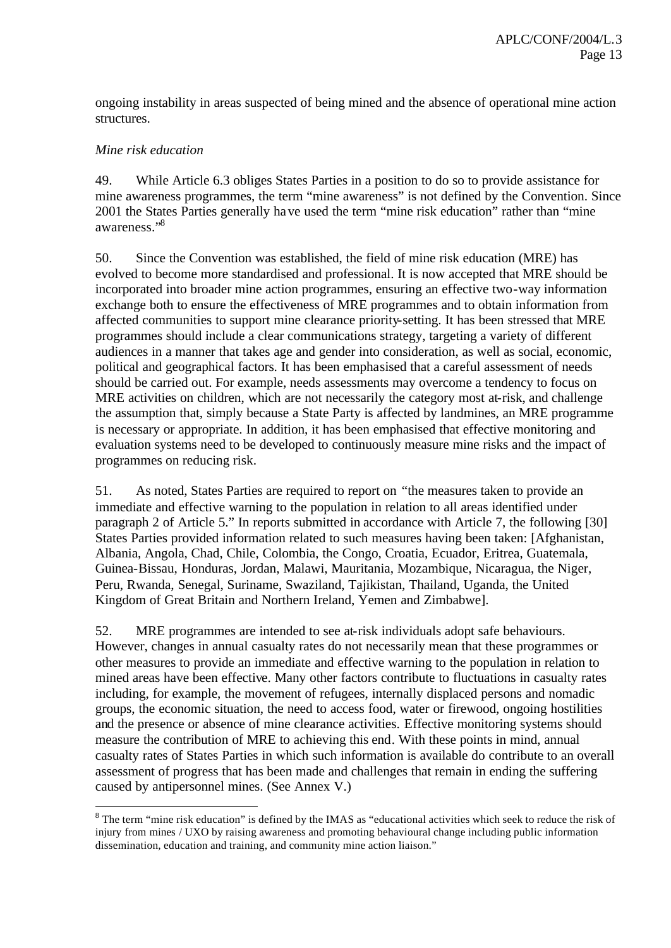ongoing instability in areas suspected of being mined and the absence of operational mine action structures.

### *Mine risk education*

l

49. While Article 6.3 obliges States Parties in a position to do so to provide assistance for mine awareness programmes, the term "mine awareness" is not defined by the Convention. Since 2001 the States Parties generally have used the term "mine risk education" rather than "mine awareness."<sup>8</sup>

50. Since the Convention was established, the field of mine risk education (MRE) has evolved to become more standardised and professional. It is now accepted that MRE should be incorporated into broader mine action programmes, ensuring an effective two-way information exchange both to ensure the effectiveness of MRE programmes and to obtain information from affected communities to support mine clearance priority-setting. It has been stressed that MRE programmes should include a clear communications strategy, targeting a variety of different audiences in a manner that takes age and gender into consideration, as well as social, economic, political and geographical factors. It has been emphasised that a careful assessment of needs should be carried out. For example, needs assessments may overcome a tendency to focus on MRE activities on children, which are not necessarily the category most at-risk, and challenge the assumption that, simply because a State Party is affected by landmines, an MRE programme is necessary or appropriate. In addition, it has been emphasised that effective monitoring and evaluation systems need to be developed to continuously measure mine risks and the impact of programmes on reducing risk.

51. As noted, States Parties are required to report on "the measures taken to provide an immediate and effective warning to the population in relation to all areas identified under paragraph 2 of Article 5." In reports submitted in accordance with Article 7, the following [30] States Parties provided information related to such measures having been taken: [Afghanistan, Albania, Angola, Chad, Chile, Colombia, the Congo, Croatia, Ecuador, Eritrea, Guatemala, Guinea-Bissau, Honduras, Jordan, Malawi, Mauritania, Mozambique, Nicaragua, the Niger, Peru, Rwanda, Senegal, Suriname, Swaziland, Tajikistan, Thailand, Uganda, the United Kingdom of Great Britain and Northern Ireland, Yemen and Zimbabwe].

52. MRE programmes are intended to see at-risk individuals adopt safe behaviours. However, changes in annual casualty rates do not necessarily mean that these programmes or other measures to provide an immediate and effective warning to the population in relation to mined areas have been effective. Many other factors contribute to fluctuations in casualty rates including, for example, the movement of refugees, internally displaced persons and nomadic groups, the economic situation, the need to access food, water or firewood, ongoing hostilities and the presence or absence of mine clearance activities. Effective monitoring systems should measure the contribution of MRE to achieving this end. With these points in mind, annual casualty rates of States Parties in which such information is available do contribute to an overall assessment of progress that has been made and challenges that remain in ending the suffering caused by antipersonnel mines. (See Annex V.)

 $8$  The term "mine risk education" is defined by the IMAS as "educational activities which seek to reduce the risk of injury from mines / UXO by raising awareness and promoting behavioural change including public information dissemination, education and training, and community mine action liaison."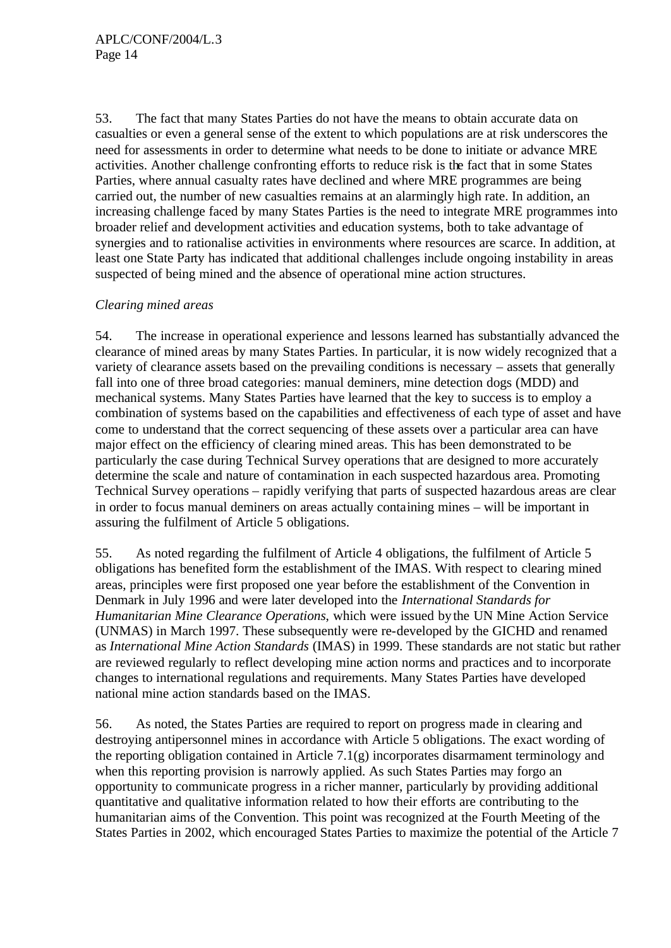53. The fact that many States Parties do not have the means to obtain accurate data on casualties or even a general sense of the extent to which populations are at risk underscores the need for assessments in order to determine what needs to be done to initiate or advance MRE activities. Another challenge confronting efforts to reduce risk is the fact that in some States Parties, where annual casualty rates have declined and where MRE programmes are being carried out, the number of new casualties remains at an alarmingly high rate. In addition, an increasing challenge faced by many States Parties is the need to integrate MRE programmes into broader relief and development activities and education systems, both to take advantage of synergies and to rationalise activities in environments where resources are scarce. In addition, at least one State Party has indicated that additional challenges include ongoing instability in areas suspected of being mined and the absence of operational mine action structures.

## *Clearing mined areas*

54. The increase in operational experience and lessons learned has substantially advanced the clearance of mined areas by many States Parties. In particular, it is now widely recognized that a variety of clearance assets based on the prevailing conditions is necessary – assets that generally fall into one of three broad categories: manual deminers, mine detection dogs (MDD) and mechanical systems. Many States Parties have learned that the key to success is to employ a combination of systems based on the capabilities and effectiveness of each type of asset and have come to understand that the correct sequencing of these assets over a particular area can have major effect on the efficiency of clearing mined areas. This has been demonstrated to be particularly the case during Technical Survey operations that are designed to more accurately determine the scale and nature of contamination in each suspected hazardous area. Promoting Technical Survey operations – rapidly verifying that parts of suspected hazardous areas are clear in order to focus manual deminers on areas actually containing mines – will be important in assuring the fulfilment of Article 5 obligations.

55. As noted regarding the fulfilment of Article 4 obligations, the fulfilment of Article 5 obligations has benefited form the establishment of the IMAS. With respect to clearing mined areas, principles were first proposed one year before the establishment of the Convention in Denmark in July 1996 and were later developed into the *International Standards for Humanitarian Mine Clearance Operations*, which were issued by the UN Mine Action Service (UNMAS) in March 1997. These subsequently were re-developed by the GICHD and renamed as *International Mine Action Standards* (IMAS) in 1999. These standards are not static but rather are reviewed regularly to reflect developing mine action norms and practices and to incorporate changes to international regulations and requirements. Many States Parties have developed national mine action standards based on the IMAS.

56. As noted, the States Parties are required to report on progress made in clearing and destroying antipersonnel mines in accordance with Article 5 obligations. The exact wording of the reporting obligation contained in Article 7.1(g) incorporates disarmament terminology and when this reporting provision is narrowly applied. As such States Parties may forgo an opportunity to communicate progress in a richer manner, particularly by providing additional quantitative and qualitative information related to how their efforts are contributing to the humanitarian aims of the Convention. This point was recognized at the Fourth Meeting of the States Parties in 2002, which encouraged States Parties to maximize the potential of the Article 7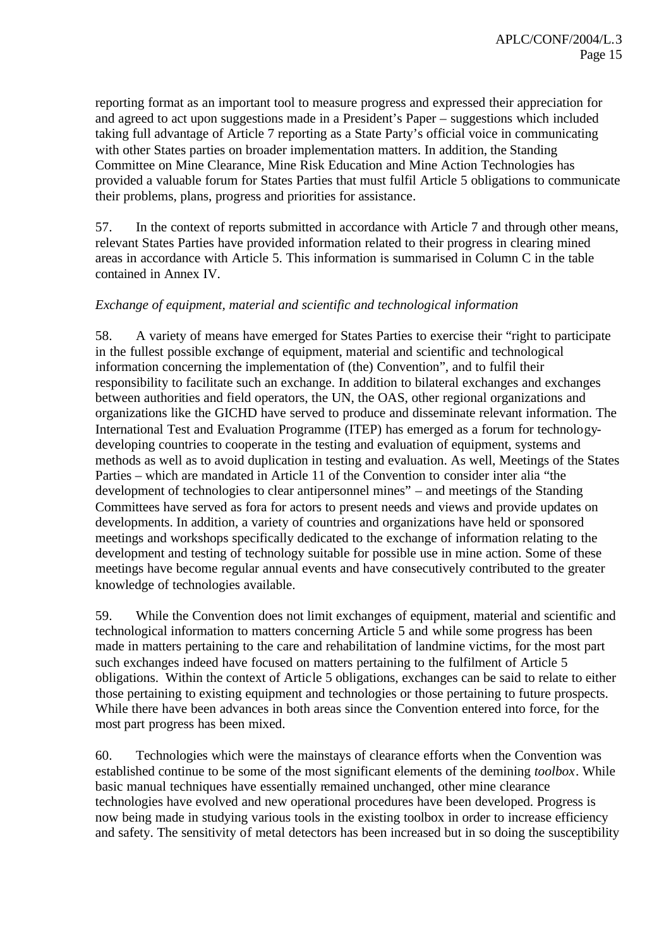reporting format as an important tool to measure progress and expressed their appreciation for and agreed to act upon suggestions made in a President's Paper – suggestions which included taking full advantage of Article 7 reporting as a State Party's official voice in communicating with other States parties on broader implementation matters. In addition, the Standing Committee on Mine Clearance, Mine Risk Education and Mine Action Technologies has provided a valuable forum for States Parties that must fulfil Article 5 obligations to communicate their problems, plans, progress and priorities for assistance.

57. In the context of reports submitted in accordance with Article 7 and through other means, relevant States Parties have provided information related to their progress in clearing mined areas in accordance with Article 5. This information is summarised in Column C in the table contained in Annex IV.

#### *Exchange of equipment, material and scientific and technological information*

58. A variety of means have emerged for States Parties to exercise their "right to participate in the fullest possible exchange of equipment, material and scientific and technological information concerning the implementation of (the) Convention", and to fulfil their responsibility to facilitate such an exchange. In addition to bilateral exchanges and exchanges between authorities and field operators, the UN, the OAS, other regional organizations and organizations like the GICHD have served to produce and disseminate relevant information. The International Test and Evaluation Programme (ITEP) has emerged as a forum for technologydeveloping countries to cooperate in the testing and evaluation of equipment, systems and methods as well as to avoid duplication in testing and evaluation. As well, Meetings of the States Parties – which are mandated in Article 11 of the Convention to consider inter alia "the development of technologies to clear antipersonnel mines" – and meetings of the Standing Committees have served as fora for actors to present needs and views and provide updates on developments. In addition, a variety of countries and organizations have held or sponsored meetings and workshops specifically dedicated to the exchange of information relating to the development and testing of technology suitable for possible use in mine action. Some of these meetings have become regular annual events and have consecutively contributed to the greater knowledge of technologies available.

59. While the Convention does not limit exchanges of equipment, material and scientific and technological information to matters concerning Article 5 and while some progress has been made in matters pertaining to the care and rehabilitation of landmine victims, for the most part such exchanges indeed have focused on matters pertaining to the fulfilment of Article 5 obligations. Within the context of Article 5 obligations, exchanges can be said to relate to either those pertaining to existing equipment and technologies or those pertaining to future prospects. While there have been advances in both areas since the Convention entered into force, for the most part progress has been mixed.

60. Technologies which were the mainstays of clearance efforts when the Convention was established continue to be some of the most significant elements of the demining *toolbox*. While basic manual techniques have essentially remained unchanged, other mine clearance technologies have evolved and new operational procedures have been developed. Progress is now being made in studying various tools in the existing toolbox in order to increase efficiency and safety. The sensitivity of metal detectors has been increased but in so doing the susceptibility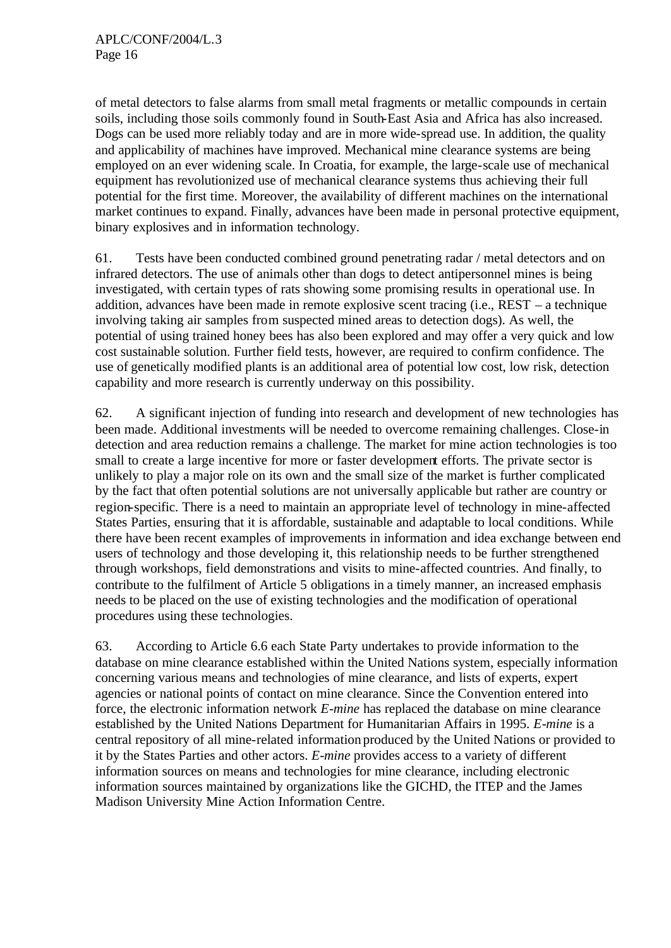of metal detectors to false alarms from small metal fragments or metallic compounds in certain soils, including those soils commonly found in South-East Asia and Africa has also increased. Dogs can be used more reliably today and are in more wide-spread use. In addition, the quality and applicability of machines have improved. Mechanical mine clearance systems are being employed on an ever widening scale. In Croatia, for example, the large-scale use of mechanical equipment has revolutionized use of mechanical clearance systems thus achieving their full potential for the first time. Moreover, the availability of different machines on the international market continues to expand. Finally, advances have been made in personal protective equipment, binary explosives and in information technology.

61. Tests have been conducted combined ground penetrating radar / metal detectors and on infrared detectors. The use of animals other than dogs to detect antipersonnel mines is being investigated, with certain types of rats showing some promising results in operational use. In addition, advances have been made in remote explosive scent tracing (i.e., REST – a technique involving taking air samples from suspected mined areas to detection dogs). As well, the potential of using trained honey bees has also been explored and may offer a very quick and low cost sustainable solution. Further field tests, however, are required to confirm confidence. The use of genetically modified plants is an additional area of potential low cost, low risk, detection capability and more research is currently underway on this possibility.

62. A significant injection of funding into research and development of new technologies has been made. Additional investments will be needed to overcome remaining challenges. Close-in detection and area reduction remains a challenge. The market for mine action technologies is too small to create a large incentive for more or faster development efforts. The private sector is unlikely to play a major role on its own and the small size of the market is further complicated by the fact that often potential solutions are not universally applicable but rather are country or region-specific. There is a need to maintain an appropriate level of technology in mine-affected States Parties, ensuring that it is affordable, sustainable and adaptable to local conditions. While there have been recent examples of improvements in information and idea exchange between end users of technology and those developing it, this relationship needs to be further strengthened through workshops, field demonstrations and visits to mine-affected countries. And finally, to contribute to the fulfilment of Article 5 obligations in a timely manner, an increased emphasis needs to be placed on the use of existing technologies and the modification of operational procedures using these technologies.

63. According to Article 6.6 each State Party undertakes to provide information to the database on mine clearance established within the United Nations system, especially information concerning various means and technologies of mine clearance, and lists of experts, expert agencies or national points of contact on mine clearance. Since the Convention entered into force, the electronic information network *E-mine* has replaced the database on mine clearance established by the United Nations Department for Humanitarian Affairs in 1995. *E-mine* is a central repository of all mine-related information produced by the United Nations or provided to it by the States Parties and other actors. *E-mine* provides access to a variety of different information sources on means and technologies for mine clearance, including electronic information sources maintained by organizations like the GICHD, the ITEP and the James Madison University Mine Action Information Centre.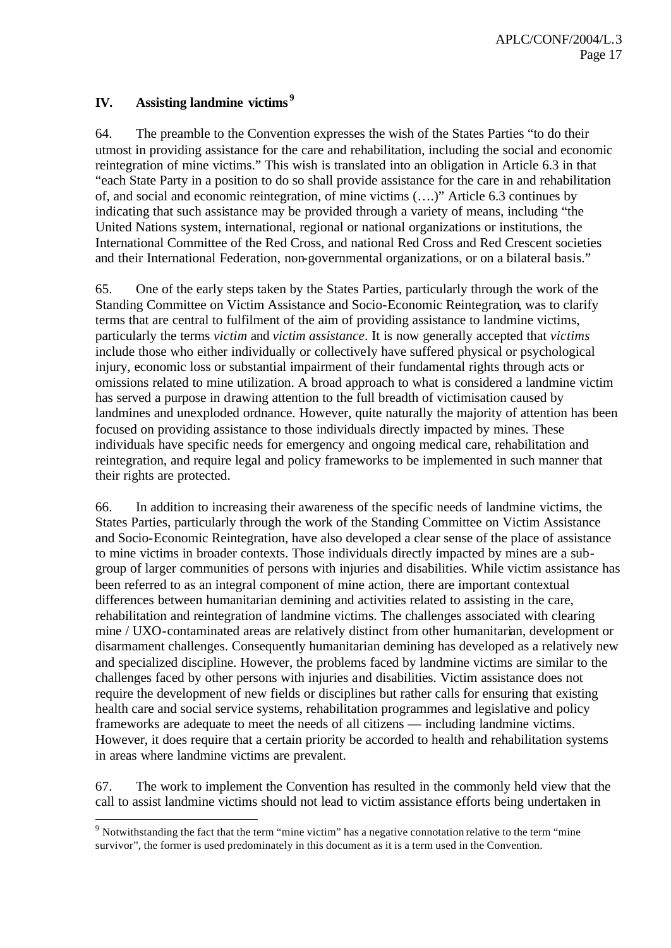## **IV. Assisting landmine victims <sup>9</sup>**

l

64. The preamble to the Convention expresses the wish of the States Parties "to do their utmost in providing assistance for the care and rehabilitation, including the social and economic reintegration of mine victims." This wish is translated into an obligation in Article 6.3 in that "each State Party in a position to do so shall provide assistance for the care in and rehabilitation of, and social and economic reintegration, of mine victims (….)" Article 6.3 continues by indicating that such assistance may be provided through a variety of means, including "the United Nations system, international, regional or national organizations or institutions, the International Committee of the Red Cross, and national Red Cross and Red Crescent societies and their International Federation, non-governmental organizations, or on a bilateral basis."

65. One of the early steps taken by the States Parties, particularly through the work of the Standing Committee on Victim Assistance and Socio-Economic Reintegration, was to clarify terms that are central to fulfilment of the aim of providing assistance to landmine victims, particularly the terms *victim* and *victim assistance*. It is now generally accepted that *victims* include those who either individually or collectively have suffered physical or psychological injury, economic loss or substantial impairment of their fundamental rights through acts or omissions related to mine utilization. A broad approach to what is considered a landmine victim has served a purpose in drawing attention to the full breadth of victimisation caused by landmines and unexploded ordnance. However, quite naturally the majority of attention has been focused on providing assistance to those individuals directly impacted by mines. These individuals have specific needs for emergency and ongoing medical care, rehabilitation and reintegration, and require legal and policy frameworks to be implemented in such manner that their rights are protected.

66. In addition to increasing their awareness of the specific needs of landmine victims, the States Parties, particularly through the work of the Standing Committee on Victim Assistance and Socio-Economic Reintegration, have also developed a clear sense of the place of assistance to mine victims in broader contexts. Those individuals directly impacted by mines are a subgroup of larger communities of persons with injuries and disabilities. While victim assistance has been referred to as an integral component of mine action, there are important contextual differences between humanitarian demining and activities related to assisting in the care, rehabilitation and reintegration of landmine victims. The challenges associated with clearing mine / UXO-contaminated areas are relatively distinct from other humanitarian, development or disarmament challenges. Consequently humanitarian demining has developed as a relatively new and specialized discipline. However, the problems faced by landmine victims are similar to the challenges faced by other persons with injuries and disabilities. Victim assistance does not require the development of new fields or disciplines but rather calls for ensuring that existing health care and social service systems, rehabilitation programmes and legislative and policy frameworks are adequate to meet the needs of all citizens — including landmine victims. However, it does require that a certain priority be accorded to health and rehabilitation systems in areas where landmine victims are prevalent.

67. The work to implement the Convention has resulted in the commonly held view that the call to assist landmine victims should not lead to victim assistance efforts being undertaken in

<sup>&</sup>lt;sup>9</sup> Notwithstanding the fact that the term "mine victim" has a negative connotation relative to the term "mine" survivor", the former is used predominately in this document as it is a term used in the Convention.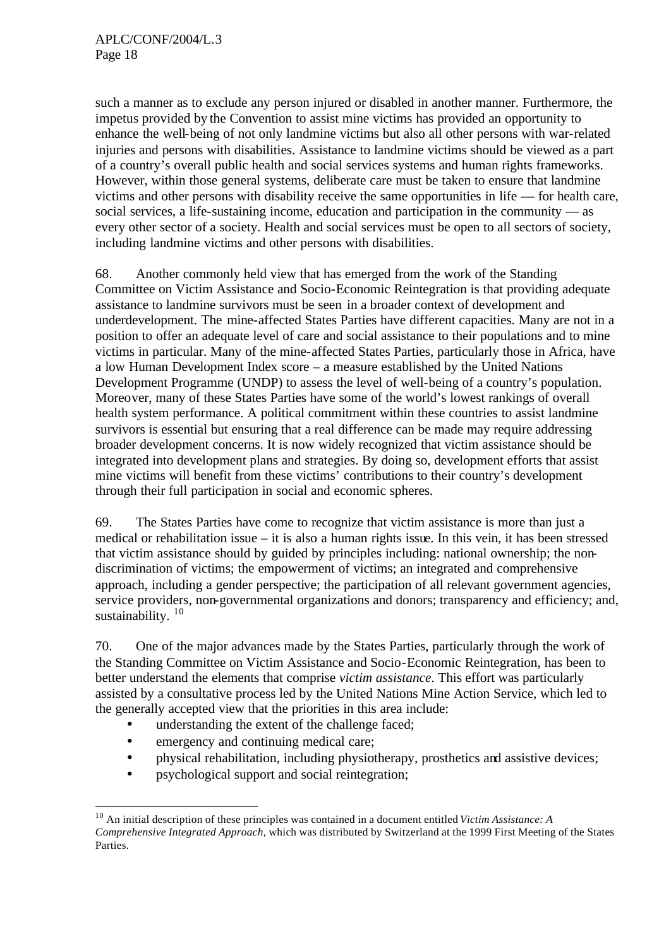such a manner as to exclude any person injured or disabled in another manner. Furthermore, the impetus provided by the Convention to assist mine victims has provided an opportunity to enhance the well-being of not only landmine victims but also all other persons with war-related injuries and persons with disabilities. Assistance to landmine victims should be viewed as a part of a country's overall public health and social services systems and human rights frameworks. However, within those general systems, deliberate care must be taken to ensure that landmine victims and other persons with disability receive the same opportunities in life — for health care, social services, a life-sustaining income, education and participation in the community — as every other sector of a society. Health and social services must be open to all sectors of society, including landmine victims and other persons with disabilities.

68. Another commonly held view that has emerged from the work of the Standing Committee on Victim Assistance and Socio-Economic Reintegration is that providing adequate assistance to landmine survivors must be seen in a broader context of development and underdevelopment. The mine-affected States Parties have different capacities. Many are not in a position to offer an adequate level of care and social assistance to their populations and to mine victims in particular. Many of the mine-affected States Parties, particularly those in Africa, have a low Human Development Index score – a measure established by the United Nations Development Programme (UNDP) to assess the level of well-being of a country's population. Moreover, many of these States Parties have some of the world's lowest rankings of overall health system performance. A political commitment within these countries to assist landmine survivors is essential but ensuring that a real difference can be made may require addressing broader development concerns. It is now widely recognized that victim assistance should be integrated into development plans and strategies. By doing so, development efforts that assist mine victims will benefit from these victims' contributions to their country's development through their full participation in social and economic spheres.

69. The States Parties have come to recognize that victim assistance is more than just a medical or rehabilitation issue – it is also a human rights issue. In this vein, it has been stressed that victim assistance should by guided by principles including: national ownership; the nondiscrimination of victims; the empowerment of victims; an integrated and comprehensive approach, including a gender perspective; the participation of all relevant government agencies, service providers, non-governmental organizations and donors; transparency and efficiency; and, sustainability.  $10$ 

70. One of the major advances made by the States Parties, particularly through the work of the Standing Committee on Victim Assistance and Socio-Economic Reintegration, has been to better understand the elements that comprise *victim assistance*. This effort was particularly assisted by a consultative process led by the United Nations Mine Action Service, which led to the generally accepted view that the priorities in this area include:

- understanding the extent of the challenge faced;
- emergency and continuing medical care;

l

- physical rehabilitation, including physiotherapy, prosthetics and assistive devices;
- psychological support and social reintegration;

<sup>10</sup> An initial description of these principles was contained in a document entitled *Victim Assistance: A Comprehensive Integrated Approach*, which was distributed by Switzerland at the 1999 First Meeting of the States Parties.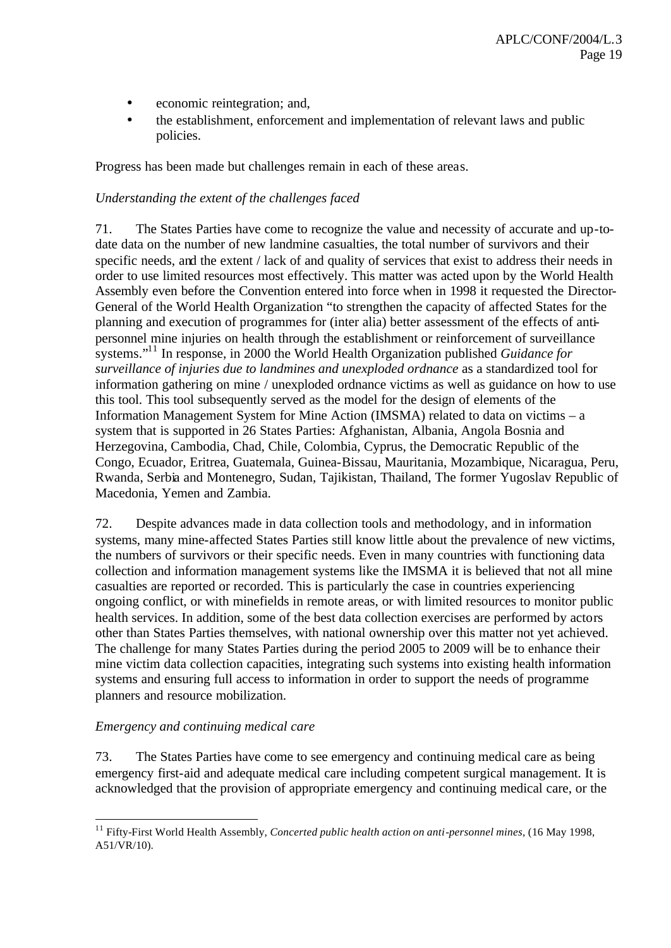- economic reintegration; and,
- the establishment, enforcement and implementation of relevant laws and public policies.

Progress has been made but challenges remain in each of these areas.

### *Understanding the extent of the challenges faced*

71. The States Parties have come to recognize the value and necessity of accurate and up-todate data on the number of new landmine casualties, the total number of survivors and their specific needs, and the extent / lack of and quality of services that exist to address their needs in order to use limited resources most effectively. This matter was acted upon by the World Health Assembly even before the Convention entered into force when in 1998 it requested the Director-General of the World Health Organization "to strengthen the capacity of affected States for the planning and execution of programmes for (inter alia) better assessment of the effects of antipersonnel mine injuries on health through the establishment or reinforcement of surveillance systems."<sup>11</sup> In response, in 2000 the World Health Organization published *Guidance for surveillance of injuries due to landmines and unexploded ordnance* as a standardized tool for information gathering on mine / unexploded ordnance victims as well as guidance on how to use this tool. This tool subsequently served as the model for the design of elements of the Information Management System for Mine Action (IMSMA) related to data on victims – a system that is supported in 26 States Parties: Afghanistan, Albania, Angola Bosnia and Herzegovina, Cambodia, Chad, Chile, Colombia, Cyprus, the Democratic Republic of the Congo, Ecuador, Eritrea, Guatemala, Guinea-Bissau, Mauritania, Mozambique, Nicaragua, Peru, Rwanda, Serbia and Montenegro, Sudan, Tajikistan, Thailand, The former Yugoslav Republic of Macedonia, Yemen and Zambia.

72. Despite advances made in data collection tools and methodology, and in information systems, many mine-affected States Parties still know little about the prevalence of new victims, the numbers of survivors or their specific needs. Even in many countries with functioning data collection and information management systems like the IMSMA it is believed that not all mine casualties are reported or recorded. This is particularly the case in countries experiencing ongoing conflict, or with minefields in remote areas, or with limited resources to monitor public health services. In addition, some of the best data collection exercises are performed by actors other than States Parties themselves, with national ownership over this matter not yet achieved. The challenge for many States Parties during the period 2005 to 2009 will be to enhance their mine victim data collection capacities, integrating such systems into existing health information systems and ensuring full access to information in order to support the needs of programme planners and resource mobilization.

## *Emergency and continuing medical care*

l

73. The States Parties have come to see emergency and continuing medical care as being emergency first-aid and adequate medical care including competent surgical management. It is acknowledged that the provision of appropriate emergency and continuing medical care, or the

<sup>11</sup> Fifty-First World Health Assembly, *Concerted public health action on anti-personnel mines*, (16 May 1998, A51/VR/10).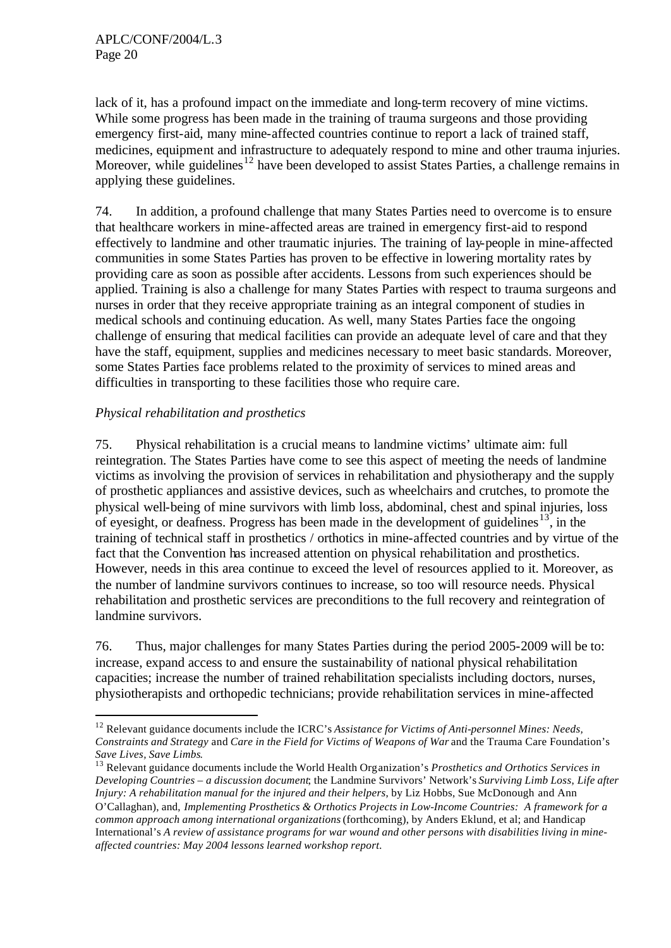lack of it, has a profound impact on the immediate and long-term recovery of mine victims. While some progress has been made in the training of trauma surgeons and those providing emergency first-aid, many mine-affected countries continue to report a lack of trained staff, medicines, equipment and infrastructure to adequately respond to mine and other trauma injuries. Moreover, while guidelines<sup>12</sup> have been developed to assist States Parties, a challenge remains in applying these guidelines.

74. In addition, a profound challenge that many States Parties need to overcome is to ensure that healthcare workers in mine-affected areas are trained in emergency first-aid to respond effectively to landmine and other traumatic injuries. The training of lay-people in mine-affected communities in some States Parties has proven to be effective in lowering mortality rates by providing care as soon as possible after accidents. Lessons from such experiences should be applied. Training is also a challenge for many States Parties with respect to trauma surgeons and nurses in order that they receive appropriate training as an integral component of studies in medical schools and continuing education. As well, many States Parties face the ongoing challenge of ensuring that medical facilities can provide an adequate level of care and that they have the staff, equipment, supplies and medicines necessary to meet basic standards. Moreover, some States Parties face problems related to the proximity of services to mined areas and difficulties in transporting to these facilities those who require care.

## *Physical rehabilitation and prosthetics*

l

75. Physical rehabilitation is a crucial means to landmine victims' ultimate aim: full reintegration. The States Parties have come to see this aspect of meeting the needs of landmine victims as involving the provision of services in rehabilitation and physiotherapy and the supply of prosthetic appliances and assistive devices, such as wheelchairs and crutches, to promote the physical well-being of mine survivors with limb loss, abdominal, chest and spinal injuries, loss of eyesight, or deafness. Progress has been made in the development of guidelines<sup>13</sup>, in the training of technical staff in prosthetics / orthotics in mine-affected countries and by virtue of the fact that the Convention has increased attention on physical rehabilitation and prosthetics. However, needs in this area continue to exceed the level of resources applied to it. Moreover, as the number of landmine survivors continues to increase, so too will resource needs. Physical rehabilitation and prosthetic services are preconditions to the full recovery and reintegration of landmine survivors.

76. Thus, major challenges for many States Parties during the period 2005-2009 will be to: increase, expand access to and ensure the sustainability of national physical rehabilitation capacities; increase the number of trained rehabilitation specialists including doctors, nurses, physiotherapists and orthopedic technicians; provide rehabilitation services in mine-affected

<sup>12</sup> Relevant guidance documents include the ICRC's *Assistance for Victims of Anti-personnel Mines: Needs, Constraints and Strategy* and *Care in the Field for Victims of Weapons of War* and the Trauma Care Foundation's *Save Lives, Save Limbs*.

<sup>13</sup> Relevant guidance documents include the World Health Organization's *Prosthetics and Orthotics Services in Developing Countries – a discussion document*; the Landmine Survivors' Network's *Surviving Limb Loss*, *Life after Injury: A rehabilitation manual for the injured and their helpers*, by Liz Hobbs, Sue McDonough and Ann O'Callaghan), and, *Implementing Prosthetics & Orthotics Projects in Low-Income Countries: A framework for a common approach among international organizations* (forthcoming), by Anders Eklund, et al; and Handicap International's *A review of assistance programs for war wound and other persons with disabilities living in mineaffected countries: May 2004 lessons learned workshop report.*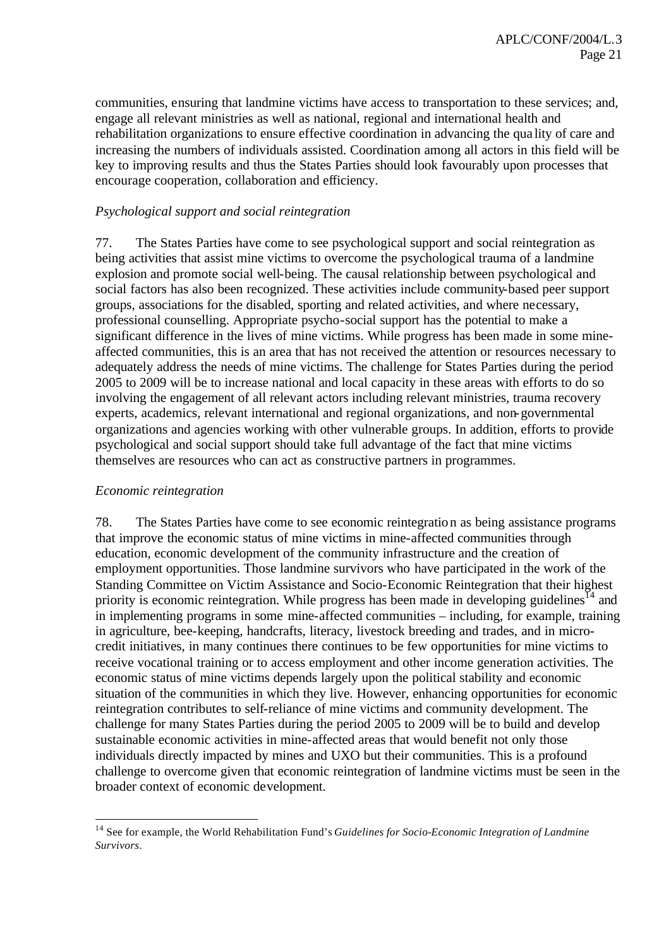communities, ensuring that landmine victims have access to transportation to these services; and, engage all relevant ministries as well as national, regional and international health and rehabilitation organizations to ensure effective coordination in advancing the qua lity of care and increasing the numbers of individuals assisted. Coordination among all actors in this field will be key to improving results and thus the States Parties should look favourably upon processes that encourage cooperation, collaboration and efficiency.

## *Psychological support and social reintegration*

77. The States Parties have come to see psychological support and social reintegration as being activities that assist mine victims to overcome the psychological trauma of a landmine explosion and promote social well-being. The causal relationship between psychological and social factors has also been recognized. These activities include community-based peer support groups, associations for the disabled, sporting and related activities, and where necessary, professional counselling. Appropriate psycho-social support has the potential to make a significant difference in the lives of mine victims. While progress has been made in some mineaffected communities, this is an area that has not received the attention or resources necessary to adequately address the needs of mine victims. The challenge for States Parties during the period 2005 to 2009 will be to increase national and local capacity in these areas with efforts to do so involving the engagement of all relevant actors including relevant ministries, trauma recovery experts, academics, relevant international and regional organizations, and non-governmental organizations and agencies working with other vulnerable groups. In addition, efforts to provide psychological and social support should take full advantage of the fact that mine victims themselves are resources who can act as constructive partners in programmes.

#### *Economic reintegration*

l

78. The States Parties have come to see economic reintegration as being assistance programs that improve the economic status of mine victims in mine-affected communities through education, economic development of the community infrastructure and the creation of employment opportunities. Those landmine survivors who have participated in the work of the Standing Committee on Victim Assistance and Socio-Economic Reintegration that their highest priority is economic reintegration. While progress has been made in developing guidelines<sup>14</sup> and in implementing programs in some mine-affected communities – including, for example, training in agriculture, bee-keeping, handcrafts, literacy, livestock breeding and trades, and in microcredit initiatives, in many continues there continues to be few opportunities for mine victims to receive vocational training or to access employment and other income generation activities. The economic status of mine victims depends largely upon the political stability and economic situation of the communities in which they live. However, enhancing opportunities for economic reintegration contributes to self-reliance of mine victims and community development. The challenge for many States Parties during the period 2005 to 2009 will be to build and develop sustainable economic activities in mine-affected areas that would benefit not only those individuals directly impacted by mines and UXO but their communities. This is a profound challenge to overcome given that economic reintegration of landmine victims must be seen in the broader context of economic development.

<sup>14</sup> See for example, the World Rehabilitation Fund's *Guidelines for Socio-Economic Integration of Landmine Survivors*.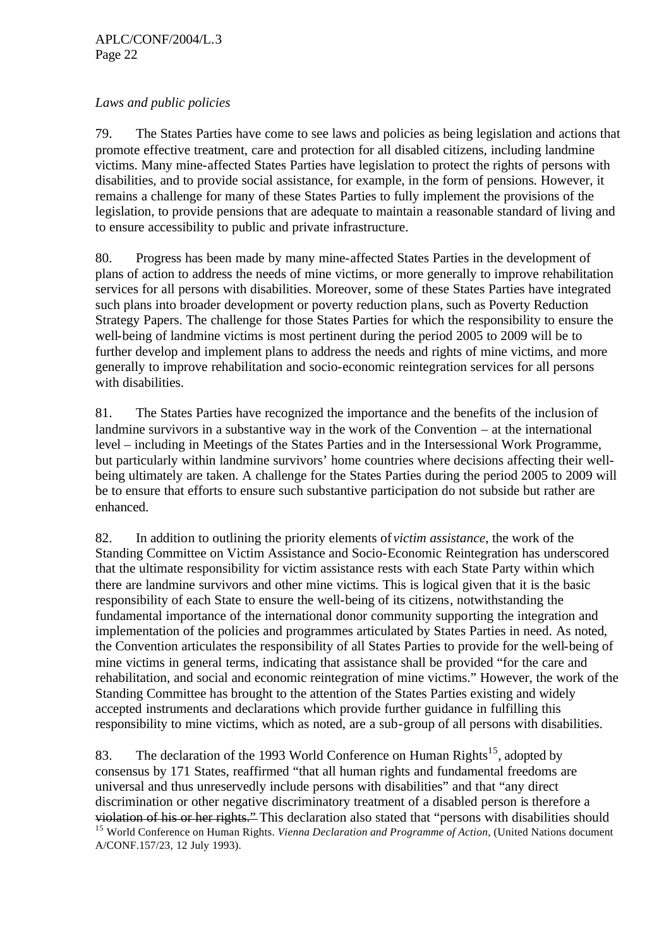## *Laws and public policies*

79. The States Parties have come to see laws and policies as being legislation and actions that promote effective treatment, care and protection for all disabled citizens, including landmine victims. Many mine-affected States Parties have legislation to protect the rights of persons with disabilities, and to provide social assistance, for example, in the form of pensions. However, it remains a challenge for many of these States Parties to fully implement the provisions of the legislation, to provide pensions that are adequate to maintain a reasonable standard of living and to ensure accessibility to public and private infrastructure.

80. Progress has been made by many mine-affected States Parties in the development of plans of action to address the needs of mine victims, or more generally to improve rehabilitation services for all persons with disabilities. Moreover, some of these States Parties have integrated such plans into broader development or poverty reduction plans, such as Poverty Reduction Strategy Papers. The challenge for those States Parties for which the responsibility to ensure the well-being of landmine victims is most pertinent during the period 2005 to 2009 will be to further develop and implement plans to address the needs and rights of mine victims, and more generally to improve rehabilitation and socio-economic reintegration services for all persons with disabilities.

81. The States Parties have recognized the importance and the benefits of the inclusion of landmine survivors in a substantive way in the work of the Convention – at the international level – including in Meetings of the States Parties and in the Intersessional Work Programme, but particularly within landmine survivors' home countries where decisions affecting their wellbeing ultimately are taken. A challenge for the States Parties during the period 2005 to 2009 will be to ensure that efforts to ensure such substantive participation do not subside but rather are enhanced.

82. In addition to outlining the priority elements of *victim assistance*, the work of the Standing Committee on Victim Assistance and Socio-Economic Reintegration has underscored that the ultimate responsibility for victim assistance rests with each State Party within which there are landmine survivors and other mine victims. This is logical given that it is the basic responsibility of each State to ensure the well-being of its citizens, notwithstanding the fundamental importance of the international donor community supporting the integration and implementation of the policies and programmes articulated by States Parties in need. As noted, the Convention articulates the responsibility of all States Parties to provide for the well-being of mine victims in general terms, indicating that assistance shall be provided "for the care and rehabilitation, and social and economic reintegration of mine victims." However, the work of the Standing Committee has brought to the attention of the States Parties existing and widely accepted instruments and declarations which provide further guidance in fulfilling this responsibility to mine victims, which as noted, are a sub-group of all persons with disabilities.

83. The declaration of the 1993 World Conference on Human Rights<sup>15</sup>, adopted by consensus by 171 States, reaffirmed "that all human rights and fundamental freedoms are universal and thus unreservedly include persons with disabilities" and that "any direct discrimination or other negative discriminatory treatment of a disabled person is therefore a violation of his or her rights." This declaration also stated that "persons with disabilities should <sup>15</sup> World Conference on Human Rights. *Vienna Declaration and Programme of Action*, (United Nations document A/CONF.157/23, 12 July 1993).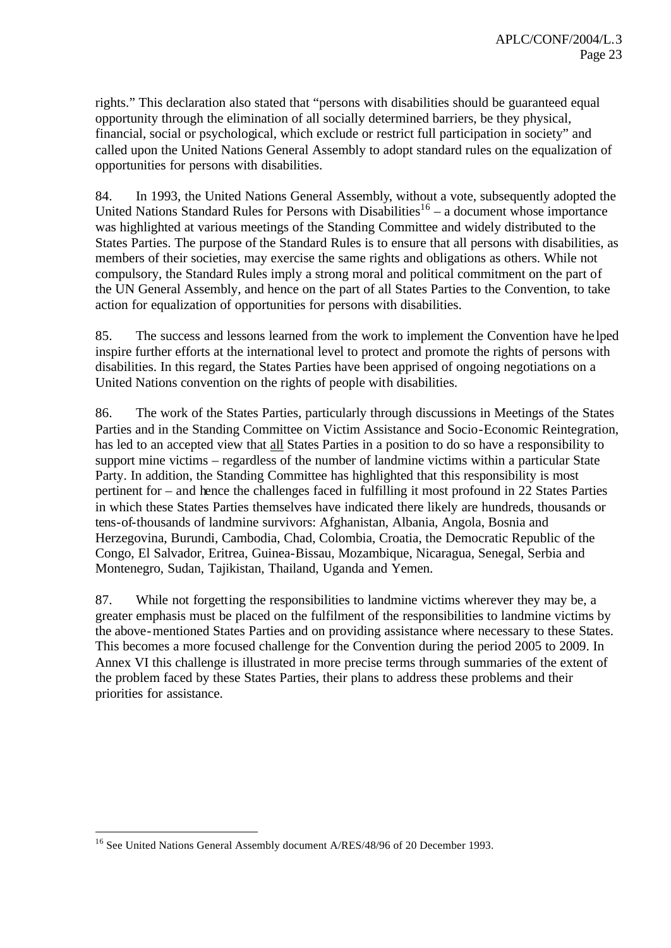rights." This declaration also stated that "persons with disabilities should be guaranteed equal opportunity through the elimination of all socially determined barriers, be they physical, financial, social or psychological, which exclude or restrict full participation in society" and called upon the United Nations General Assembly to adopt standard rules on the equalization of opportunities for persons with disabilities.

84. In 1993, the United Nations General Assembly, without a vote, subsequently adopted the United Nations Standard Rules for Persons with Disabilities $16 - a$  document whose importance was highlighted at various meetings of the Standing Committee and widely distributed to the States Parties. The purpose of the Standard Rules is to ensure that all persons with disabilities, as members of their societies, may exercise the same rights and obligations as others. While not compulsory, the Standard Rules imply a strong moral and political commitment on the part of the UN General Assembly, and hence on the part of all States Parties to the Convention, to take action for equalization of opportunities for persons with disabilities.

85. The success and lessons learned from the work to implement the Convention have he lped inspire further efforts at the international level to protect and promote the rights of persons with disabilities. In this regard, the States Parties have been apprised of ongoing negotiations on a United Nations convention on the rights of people with disabilities.

86. The work of the States Parties, particularly through discussions in Meetings of the States Parties and in the Standing Committee on Victim Assistance and Socio-Economic Reintegration, has led to an accepted view that all States Parties in a position to do so have a responsibility to support mine victims – regardless of the number of landmine victims within a particular State Party. In addition, the Standing Committee has highlighted that this responsibility is most pertinent for – and hence the challenges faced in fulfilling it most profound in 22 States Parties in which these States Parties themselves have indicated there likely are hundreds, thousands or tens-of-thousands of landmine survivors: Afghanistan, Albania, Angola, Bosnia and Herzegovina, Burundi, Cambodia, Chad, Colombia, Croatia, the Democratic Republic of the Congo, El Salvador, Eritrea, Guinea-Bissau, Mozambique, Nicaragua, Senegal, Serbia and Montenegro, Sudan, Tajikistan, Thailand, Uganda and Yemen.

87. While not forgetting the responsibilities to landmine victims wherever they may be, a greater emphasis must be placed on the fulfilment of the responsibilities to landmine victims by the above-mentioned States Parties and on providing assistance where necessary to these States. This becomes a more focused challenge for the Convention during the period 2005 to 2009. In Annex VI this challenge is illustrated in more precise terms through summaries of the extent of the problem faced by these States Parties, their plans to address these problems and their priorities for assistance.

l

<sup>&</sup>lt;sup>16</sup> See United Nations General Assembly document A/RES/48/96 of 20 December 1993.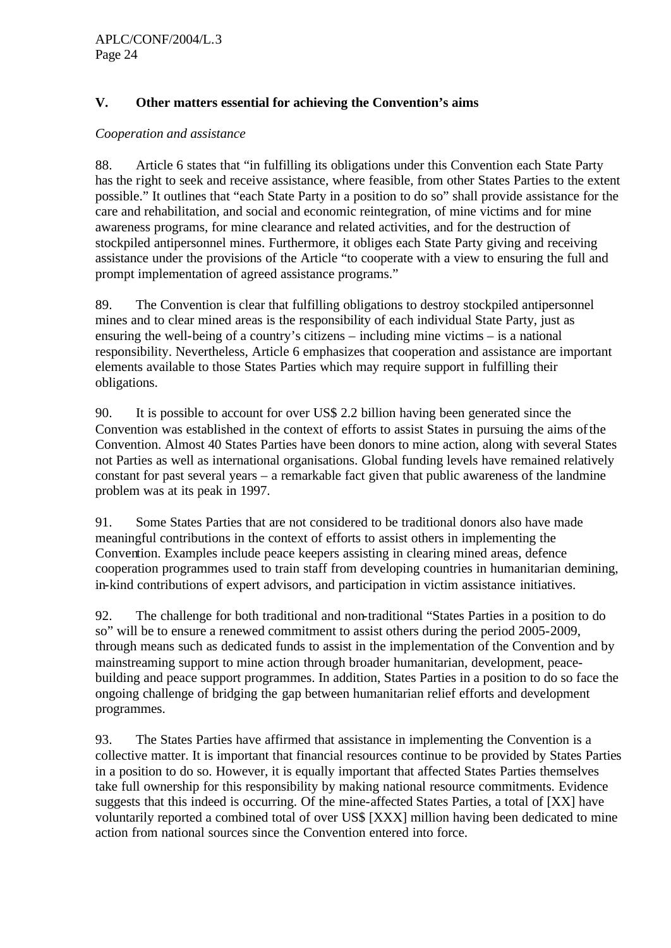## **V. Other matters essential for achieving the Convention's aims**

#### *Cooperation and assistance*

88. Article 6 states that "in fulfilling its obligations under this Convention each State Party has the right to seek and receive assistance, where feasible, from other States Parties to the extent possible." It outlines that "each State Party in a position to do so" shall provide assistance for the care and rehabilitation, and social and economic reintegration, of mine victims and for mine awareness programs, for mine clearance and related activities, and for the destruction of stockpiled antipersonnel mines. Furthermore, it obliges each State Party giving and receiving assistance under the provisions of the Article "to cooperate with a view to ensuring the full and prompt implementation of agreed assistance programs."

89. The Convention is clear that fulfilling obligations to destroy stockpiled antipersonnel mines and to clear mined areas is the responsibility of each individual State Party, just as ensuring the well-being of a country's citizens – including mine victims – is a national responsibility. Nevertheless, Article 6 emphasizes that cooperation and assistance are important elements available to those States Parties which may require support in fulfilling their obligations.

90. It is possible to account for over US\$ 2.2 billion having been generated since the Convention was established in the context of efforts to assist States in pursuing the aims of the Convention. Almost 40 States Parties have been donors to mine action, along with several States not Parties as well as international organisations. Global funding levels have remained relatively constant for past several years – a remarkable fact given that public awareness of the landmine problem was at its peak in 1997.

91. Some States Parties that are not considered to be traditional donors also have made meaningful contributions in the context of efforts to assist others in implementing the Convention. Examples include peace keepers assisting in clearing mined areas, defence cooperation programmes used to train staff from developing countries in humanitarian demining, in-kind contributions of expert advisors, and participation in victim assistance initiatives.

92. The challenge for both traditional and non-traditional "States Parties in a position to do so" will be to ensure a renewed commitment to assist others during the period 2005-2009, through means such as dedicated funds to assist in the implementation of the Convention and by mainstreaming support to mine action through broader humanitarian, development, peacebuilding and peace support programmes. In addition, States Parties in a position to do so face the ongoing challenge of bridging the gap between humanitarian relief efforts and development programmes.

93. The States Parties have affirmed that assistance in implementing the Convention is a collective matter. It is important that financial resources continue to be provided by States Parties in a position to do so. However, it is equally important that affected States Parties themselves take full ownership for this responsibility by making national resource commitments. Evidence suggests that this indeed is occurring. Of the mine-affected States Parties, a total of [XX] have voluntarily reported a combined total of over US\$ [XXX] million having been dedicated to mine action from national sources since the Convention entered into force.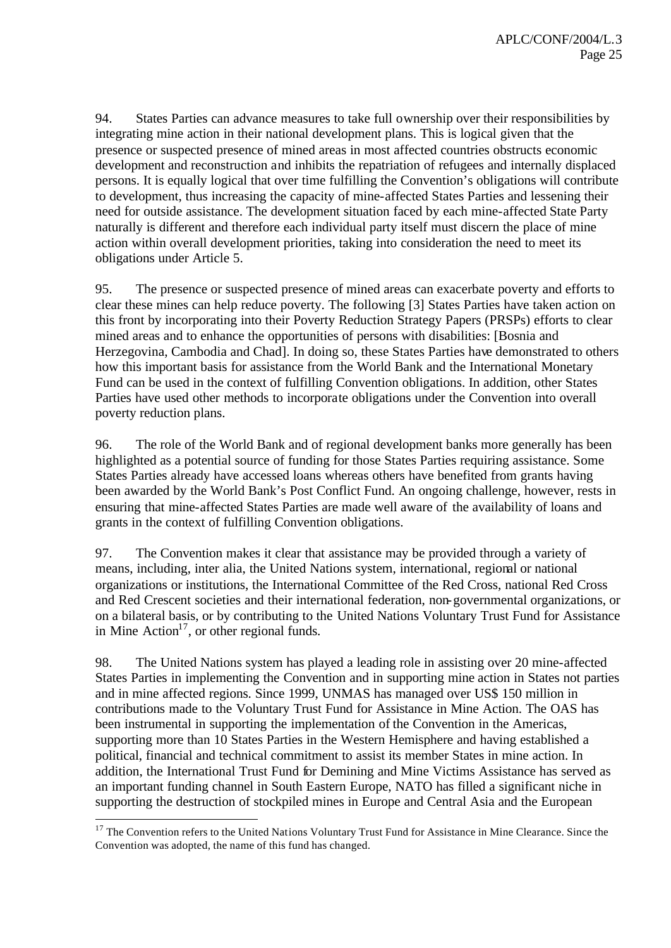94. States Parties can advance measures to take full ownership over their responsibilities by integrating mine action in their national development plans. This is logical given that the presence or suspected presence of mined areas in most affected countries obstructs economic development and reconstruction and inhibits the repatriation of refugees and internally displaced persons. It is equally logical that over time fulfilling the Convention's obligations will contribute to development, thus increasing the capacity of mine-affected States Parties and lessening their need for outside assistance. The development situation faced by each mine-affected State Party naturally is different and therefore each individual party itself must discern the place of mine action within overall development priorities, taking into consideration the need to meet its obligations under Article 5.

95. The presence or suspected presence of mined areas can exacerbate poverty and efforts to clear these mines can help reduce poverty. The following [3] States Parties have taken action on this front by incorporating into their Poverty Reduction Strategy Papers (PRSPs) efforts to clear mined areas and to enhance the opportunities of persons with disabilities: [Bosnia and Herzegovina, Cambodia and Chad]. In doing so, these States Parties have demonstrated to others how this important basis for assistance from the World Bank and the International Monetary Fund can be used in the context of fulfilling Convention obligations. In addition, other States Parties have used other methods to incorporate obligations under the Convention into overall poverty reduction plans.

96. The role of the World Bank and of regional development banks more generally has been highlighted as a potential source of funding for those States Parties requiring assistance. Some States Parties already have accessed loans whereas others have benefited from grants having been awarded by the World Bank's Post Conflict Fund. An ongoing challenge, however, rests in ensuring that mine-affected States Parties are made well aware of the availability of loans and grants in the context of fulfilling Convention obligations.

97. The Convention makes it clear that assistance may be provided through a variety of means, including, inter alia, the United Nations system, international, regional or national organizations or institutions, the International Committee of the Red Cross, national Red Cross and Red Crescent societies and their international federation, non-governmental organizations, or on a bilateral basis, or by contributing to the United Nations Voluntary Trust Fund for Assistance in Mine Action<sup>17</sup>, or other regional funds.

98. The United Nations system has played a leading role in assisting over 20 mine-affected States Parties in implementing the Convention and in supporting mine action in States not parties and in mine affected regions. Since 1999, UNMAS has managed over US\$ 150 million in contributions made to the Voluntary Trust Fund for Assistance in Mine Action. The OAS has been instrumental in supporting the implementation of the Convention in the Americas, supporting more than 10 States Parties in the Western Hemisphere and having established a political, financial and technical commitment to assist its member States in mine action. In addition, the International Trust Fund for Demining and Mine Victims Assistance has served as an important funding channel in South Eastern Europe, NATO has filled a significant niche in supporting the destruction of stockpiled mines in Europe and Central Asia and the European

l

<sup>&</sup>lt;sup>17</sup> The Convention refers to the United Nations Voluntary Trust Fund for Assistance in Mine Clearance. Since the Convention was adopted, the name of this fund has changed.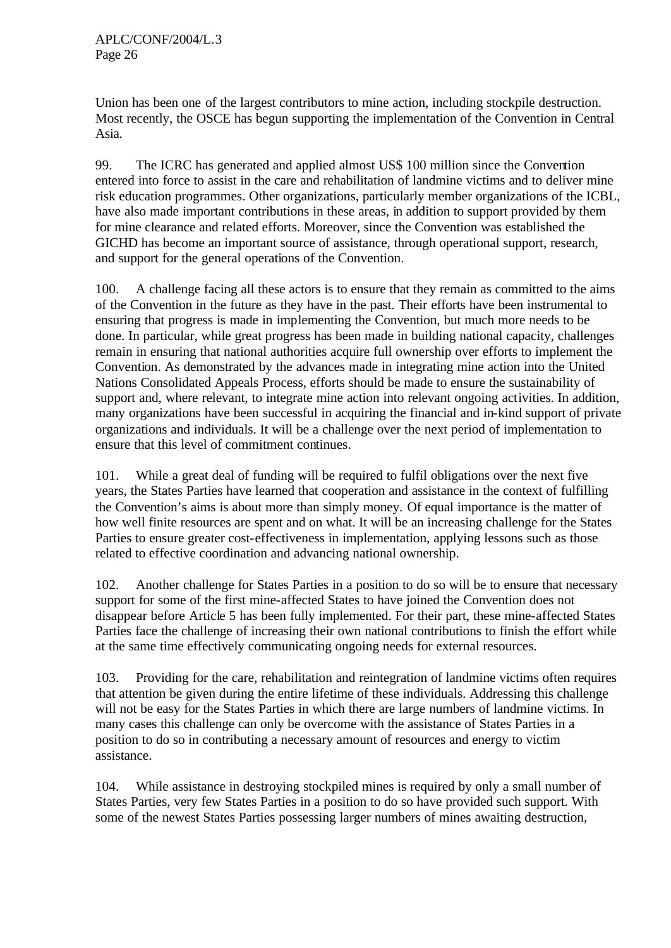Union has been one of the largest contributors to mine action, including stockpile destruction. Most recently, the OSCE has begun supporting the implementation of the Convention in Central Asia.

99. The ICRC has generated and applied almost US\$ 100 million since the Convention entered into force to assist in the care and rehabilitation of landmine victims and to deliver mine risk education programmes. Other organizations, particularly member organizations of the ICBL, have also made important contributions in these areas, in addition to support provided by them for mine clearance and related efforts. Moreover, since the Convention was established the GICHD has become an important source of assistance, through operational support, research, and support for the general operations of the Convention.

100. A challenge facing all these actors is to ensure that they remain as committed to the aims of the Convention in the future as they have in the past. Their efforts have been instrumental to ensuring that progress is made in implementing the Convention, but much more needs to be done. In particular, while great progress has been made in building national capacity, challenges remain in ensuring that national authorities acquire full ownership over efforts to implement the Convention. As demonstrated by the advances made in integrating mine action into the United Nations Consolidated Appeals Process, efforts should be made to ensure the sustainability of support and, where relevant, to integrate mine action into relevant ongoing activities. In addition, many organizations have been successful in acquiring the financial and in-kind support of private organizations and individuals. It will be a challenge over the next period of implementation to ensure that this level of commitment continues.

101. While a great deal of funding will be required to fulfil obligations over the next five years, the States Parties have learned that cooperation and assistance in the context of fulfilling the Convention's aims is about more than simply money. Of equal importance is the matter of how well finite resources are spent and on what. It will be an increasing challenge for the States Parties to ensure greater cost-effectiveness in implementation, applying lessons such as those related to effective coordination and advancing national ownership.

102. Another challenge for States Parties in a position to do so will be to ensure that necessary support for some of the first mine-affected States to have joined the Convention does not disappear before Article 5 has been fully implemented. For their part, these mine-affected States Parties face the challenge of increasing their own national contributions to finish the effort while at the same time effectively communicating ongoing needs for external resources.

103. Providing for the care, rehabilitation and reintegration of landmine victims often requires that attention be given during the entire lifetime of these individuals. Addressing this challenge will not be easy for the States Parties in which there are large numbers of landmine victims. In many cases this challenge can only be overcome with the assistance of States Parties in a position to do so in contributing a necessary amount of resources and energy to victim assistance.

104. While assistance in destroying stockpiled mines is required by only a small number of States Parties, very few States Parties in a position to do so have provided such support. With some of the newest States Parties possessing larger numbers of mines awaiting destruction,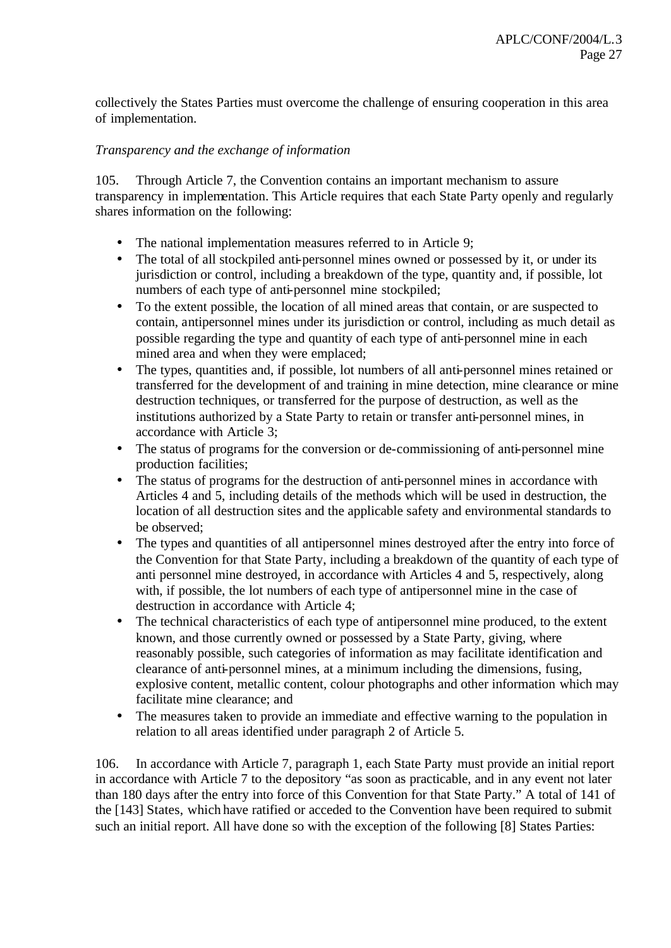collectively the States Parties must overcome the challenge of ensuring cooperation in this area of implementation.

### *Transparency and the exchange of information*

105. Through Article 7, the Convention contains an important mechanism to assure transparency in implementation. This Article requires that each State Party openly and regularly shares information on the following:

- The national implementation measures referred to in Article 9;
- The total of all stockpiled anti-personnel mines owned or possessed by it, or under its jurisdiction or control, including a breakdown of the type, quantity and, if possible, lot numbers of each type of anti-personnel mine stockpiled;
- To the extent possible, the location of all mined areas that contain, or are suspected to contain, antipersonnel mines under its jurisdiction or control, including as much detail as possible regarding the type and quantity of each type of anti-personnel mine in each mined area and when they were emplaced;
- The types, quantities and, if possible, lot numbers of all anti-personnel mines retained or transferred for the development of and training in mine detection, mine clearance or mine destruction techniques, or transferred for the purpose of destruction, as well as the institutions authorized by a State Party to retain or transfer anti-personnel mines, in accordance with Article 3;
- The status of programs for the conversion or de-commissioning of anti-personnel mine production facilities;
- The status of programs for the destruction of anti-personnel mines in accordance with Articles 4 and 5, including details of the methods which will be used in destruction, the location of all destruction sites and the applicable safety and environmental standards to be observed;
- The types and quantities of all antipersonnel mines destroyed after the entry into force of the Convention for that State Party, including a breakdown of the quantity of each type of anti personnel mine destroyed, in accordance with Articles 4 and 5, respectively, along with, if possible, the lot numbers of each type of antipersonnel mine in the case of destruction in accordance with Article 4;
- The technical characteristics of each type of antipersonnel mine produced, to the extent known, and those currently owned or possessed by a State Party, giving, where reasonably possible, such categories of information as may facilitate identification and clearance of anti-personnel mines, at a minimum including the dimensions, fusing, explosive content, metallic content, colour photographs and other information which may facilitate mine clearance; and
- The measures taken to provide an immediate and effective warning to the population in relation to all areas identified under paragraph 2 of Article 5.

106. In accordance with Article 7, paragraph 1, each State Party must provide an initial report in accordance with Article 7 to the depository "as soon as practicable, and in any event not later than 180 days after the entry into force of this Convention for that State Party." A total of 141 of the [143] States, which have ratified or acceded to the Convention have been required to submit such an initial report. All have done so with the exception of the following [8] States Parties: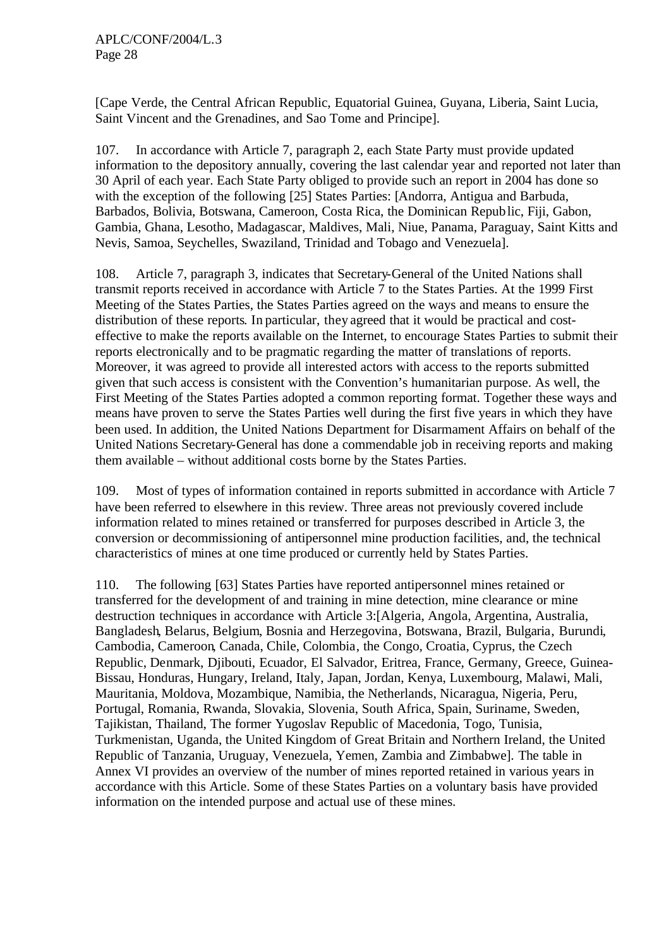[Cape Verde, the Central African Republic, Equatorial Guinea, Guyana, Liberia, Saint Lucia, Saint Vincent and the Grenadines, and Sao Tome and Principe].

107. In accordance with Article 7, paragraph 2, each State Party must provide updated information to the depository annually, covering the last calendar year and reported not later than 30 April of each year. Each State Party obliged to provide such an report in 2004 has done so with the exception of the following [25] States Parties: [Andorra, Antigua and Barbuda, Barbados, Bolivia, Botswana, Cameroon, Costa Rica, the Dominican Republic, Fiji, Gabon, Gambia, Ghana, Lesotho, Madagascar, Maldives, Mali, Niue, Panama, Paraguay, Saint Kitts and Nevis, Samoa, Seychelles, Swaziland, Trinidad and Tobago and Venezuela].

108. Article 7, paragraph 3, indicates that Secretary-General of the United Nations shall transmit reports received in accordance with Article 7 to the States Parties. At the 1999 First Meeting of the States Parties, the States Parties agreed on the ways and means to ensure the distribution of these reports. In particular, they agreed that it would be practical and costeffective to make the reports available on the Internet, to encourage States Parties to submit their reports electronically and to be pragmatic regarding the matter of translations of reports. Moreover, it was agreed to provide all interested actors with access to the reports submitted given that such access is consistent with the Convention's humanitarian purpose. As well, the First Meeting of the States Parties adopted a common reporting format. Together these ways and means have proven to serve the States Parties well during the first five years in which they have been used. In addition, the United Nations Department for Disarmament Affairs on behalf of the United Nations Secretary-General has done a commendable job in receiving reports and making them available – without additional costs borne by the States Parties.

109. Most of types of information contained in reports submitted in accordance with Article 7 have been referred to elsewhere in this review. Three areas not previously covered include information related to mines retained or transferred for purposes described in Article 3, the conversion or decommissioning of antipersonnel mine production facilities, and, the technical characteristics of mines at one time produced or currently held by States Parties.

110. The following [63] States Parties have reported antipersonnel mines retained or transferred for the development of and training in mine detection, mine clearance or mine destruction techniques in accordance with Article 3:[Algeria, Angola, Argentina, Australia, Bangladesh, Belarus, Belgium, Bosnia and Herzegovina, Botswana, Brazil, Bulgaria, Burundi, Cambodia, Cameroon, Canada, Chile, Colombia, the Congo, Croatia, Cyprus, the Czech Republic, Denmark, Djibouti, Ecuador, El Salvador, Eritrea, France, Germany, Greece, Guinea-Bissau, Honduras, Hungary, Ireland, Italy, Japan, Jordan, Kenya, Luxembourg, Malawi, Mali, Mauritania, Moldova, Mozambique, Namibia, the Netherlands, Nicaragua, Nigeria, Peru, Portugal, Romania, Rwanda, Slovakia, Slovenia, South Africa, Spain, Suriname, Sweden, Tajikistan, Thailand, The former Yugoslav Republic of Macedonia, Togo, Tunisia, Turkmenistan, Uganda, the United Kingdom of Great Britain and Northern Ireland, the United Republic of Tanzania, Uruguay, Venezuela, Yemen, Zambia and Zimbabwe]. The table in Annex VI provides an overview of the number of mines reported retained in various years in accordance with this Article. Some of these States Parties on a voluntary basis have provided information on the intended purpose and actual use of these mines.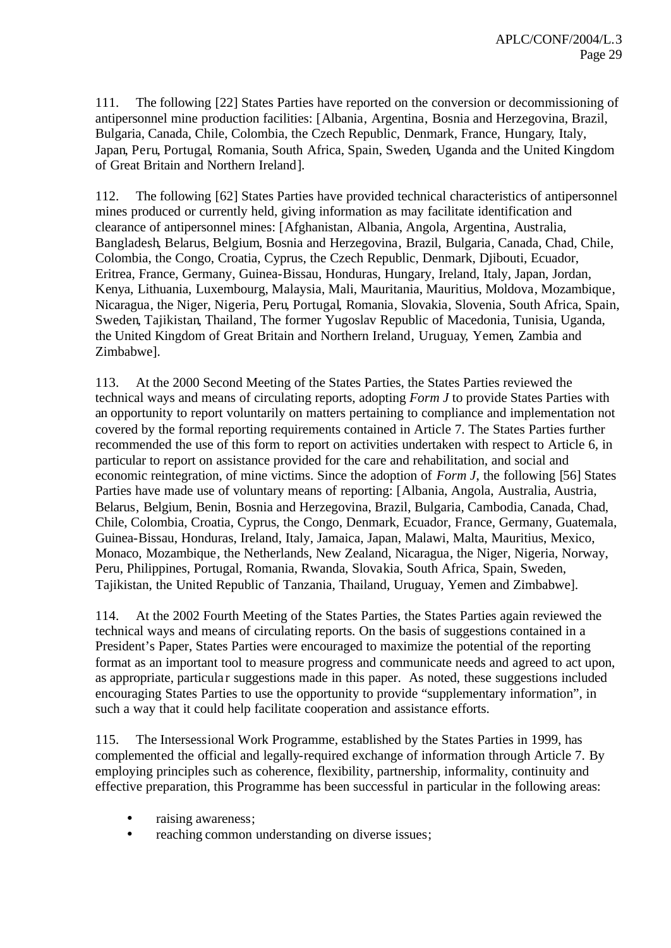111. The following [22] States Parties have reported on the conversion or decommissioning of antipersonnel mine production facilities: [Albania, Argentina, Bosnia and Herzegovina, Brazil, Bulgaria, Canada, Chile, Colombia, the Czech Republic, Denmark, France, Hungary, Italy, Japan, Peru, Portugal, Romania, South Africa, Spain, Sweden, Uganda and the United Kingdom of Great Britain and Northern Ireland].

112. The following [62] States Parties have provided technical characteristics of antipersonnel mines produced or currently held, giving information as may facilitate identification and clearance of antipersonnel mines: [Afghanistan, Albania, Angola, Argentina, Australia, Bangladesh, Belarus, Belgium, Bosnia and Herzegovina, Brazil, Bulgaria, Canada, Chad, Chile, Colombia, the Congo, Croatia, Cyprus, the Czech Republic, Denmark, Djibouti, Ecuador, Eritrea, France, Germany, Guinea-Bissau, Honduras, Hungary, Ireland, Italy, Japan, Jordan, Kenya, Lithuania, Luxembourg, Malaysia, Mali, Mauritania, Mauritius, Moldova, Mozambique, Nicaragua, the Niger, Nigeria, Peru, Portugal, Romania, Slovakia, Slovenia, South Africa, Spain, Sweden, Tajikistan, Thailand, The former Yugoslav Republic of Macedonia, Tunisia, Uganda, the United Kingdom of Great Britain and Northern Ireland, Uruguay, Yemen, Zambia and Zimbabwe].

113. At the 2000 Second Meeting of the States Parties, the States Parties reviewed the technical ways and means of circulating reports, adopting *Form J* to provide States Parties with an opportunity to report voluntarily on matters pertaining to compliance and implementation not covered by the formal reporting requirements contained in Article 7. The States Parties further recommended the use of this form to report on activities undertaken with respect to Article 6, in particular to report on assistance provided for the care and rehabilitation, and social and economic reintegration, of mine victims. Since the adoption of *Form J*, the following [56] States Parties have made use of voluntary means of reporting: [Albania, Angola, Australia, Austria, Belarus, Belgium, Benin, Bosnia and Herzegovina, Brazil, Bulgaria, Cambodia, Canada, Chad, Chile, Colombia, Croatia, Cyprus, the Congo, Denmark, Ecuador, France, Germany, Guatemala, Guinea-Bissau, Honduras, Ireland, Italy, Jamaica, Japan, Malawi, Malta, Mauritius, Mexico, Monaco, Mozambique, the Netherlands, New Zealand, Nicaragua, the Niger, Nigeria, Norway, Peru, Philippines, Portugal, Romania, Rwanda, Slovakia, South Africa, Spain, Sweden, Tajikistan, the United Republic of Tanzania, Thailand, Uruguay, Yemen and Zimbabwe].

114. At the 2002 Fourth Meeting of the States Parties, the States Parties again reviewed the technical ways and means of circulating reports. On the basis of suggestions contained in a President's Paper, States Parties were encouraged to maximize the potential of the reporting format as an important tool to measure progress and communicate needs and agreed to act upon, as appropriate, particular suggestions made in this paper. As noted, these suggestions included encouraging States Parties to use the opportunity to provide "supplementary information", in such a way that it could help facilitate cooperation and assistance efforts.

115. The Intersessional Work Programme, established by the States Parties in 1999, has complemented the official and legally-required exchange of information through Article 7. By employing principles such as coherence, flexibility, partnership, informality, continuity and effective preparation, this Programme has been successful in particular in the following areas:

- raising awareness;
- reaching common understanding on diverse issues;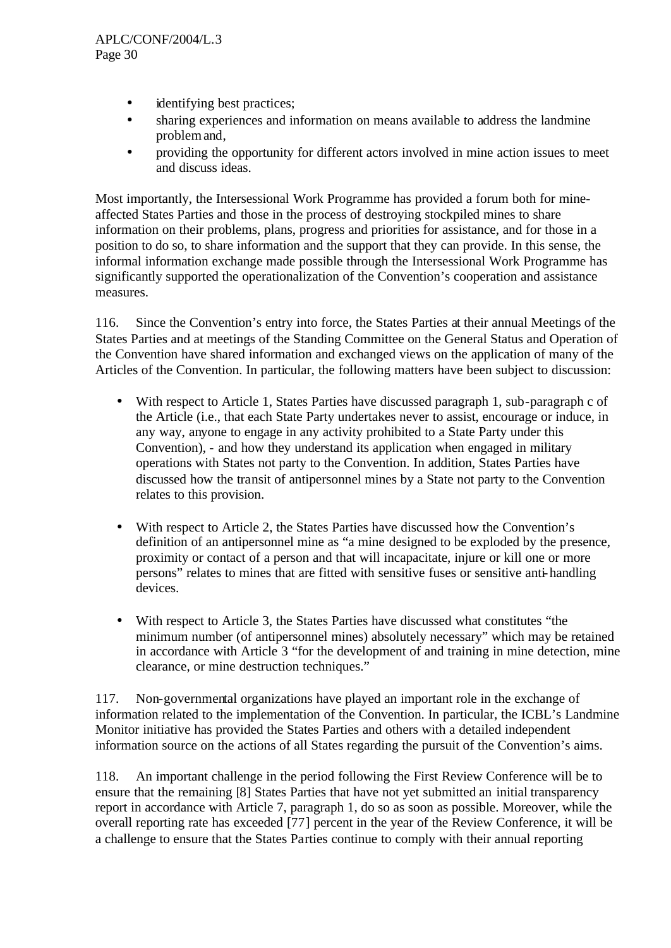- identifying best practices;
- sharing experiences and information on means available to address the landmine problem and,
- providing the opportunity for different actors involved in mine action issues to meet and discuss ideas.

Most importantly, the Intersessional Work Programme has provided a forum both for mineaffected States Parties and those in the process of destroying stockpiled mines to share information on their problems, plans, progress and priorities for assistance, and for those in a position to do so, to share information and the support that they can provide. In this sense, the informal information exchange made possible through the Intersessional Work Programme has significantly supported the operationalization of the Convention's cooperation and assistance measures.

116. Since the Convention's entry into force, the States Parties at their annual Meetings of the States Parties and at meetings of the Standing Committee on the General Status and Operation of the Convention have shared information and exchanged views on the application of many of the Articles of the Convention. In particular, the following matters have been subject to discussion:

- With respect to Article 1, States Parties have discussed paragraph 1, sub-paragraph c of the Article (i.e., that each State Party undertakes never to assist, encourage or induce, in any way, anyone to engage in any activity prohibited to a State Party under this Convention), - and how they understand its application when engaged in military operations with States not party to the Convention. In addition, States Parties have discussed how the transit of antipersonnel mines by a State not party to the Convention relates to this provision.
- With respect to Article 2, the States Parties have discussed how the Convention's definition of an antipersonnel mine as "a mine designed to be exploded by the presence, proximity or contact of a person and that will incapacitate, injure or kill one or more persons" relates to mines that are fitted with sensitive fuses or sensitive anti-handling devices.
- With respect to Article 3, the States Parties have discussed what constitutes "the minimum number (of antipersonnel mines) absolutely necessary" which may be retained in accordance with Article 3 "for the development of and training in mine detection, mine clearance, or mine destruction techniques."

117. Non-governmental organizations have played an important role in the exchange of information related to the implementation of the Convention. In particular, the ICBL's Landmine Monitor initiative has provided the States Parties and others with a detailed independent information source on the actions of all States regarding the pursuit of the Convention's aims.

118. An important challenge in the period following the First Review Conference will be to ensure that the remaining [8] States Parties that have not yet submitted an initial transparency report in accordance with Article 7, paragraph 1, do so as soon as possible. Moreover, while the overall reporting rate has exceeded [77] percent in the year of the Review Conference, it will be a challenge to ensure that the States Parties continue to comply with their annual reporting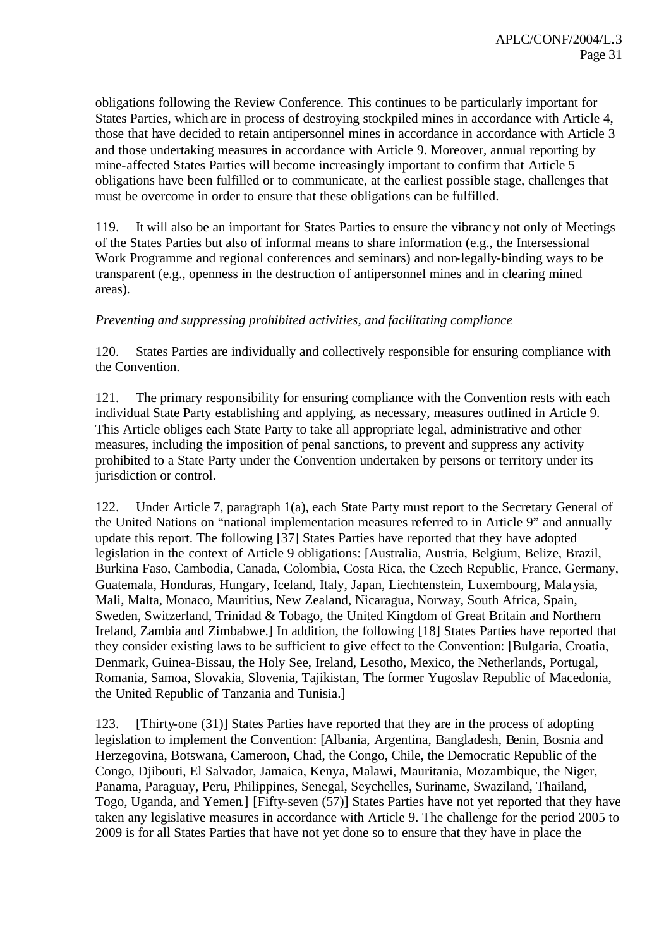obligations following the Review Conference. This continues to be particularly important for States Parties, which are in process of destroying stockpiled mines in accordance with Article 4, those that have decided to retain antipersonnel mines in accordance in accordance with Article 3 and those undertaking measures in accordance with Article 9. Moreover, annual reporting by mine-affected States Parties will become increasingly important to confirm that Article 5 obligations have been fulfilled or to communicate, at the earliest possible stage, challenges that must be overcome in order to ensure that these obligations can be fulfilled.

119. It will also be an important for States Parties to ensure the vibrancy not only of Meetings of the States Parties but also of informal means to share information (e.g., the Intersessional Work Programme and regional conferences and seminars) and non-legally-binding ways to be transparent (e.g., openness in the destruction of antipersonnel mines and in clearing mined areas).

## *Preventing and suppressing prohibited activities, and facilitating compliance*

120. States Parties are individually and collectively responsible for ensuring compliance with the Convention.

121. The primary responsibility for ensuring compliance with the Convention rests with each individual State Party establishing and applying, as necessary, measures outlined in Article 9. This Article obliges each State Party to take all appropriate legal, administrative and other measures, including the imposition of penal sanctions, to prevent and suppress any activity prohibited to a State Party under the Convention undertaken by persons or territory under its jurisdiction or control.

122. Under Article 7, paragraph 1(a), each State Party must report to the Secretary General of the United Nations on "national implementation measures referred to in Article 9" and annually update this report. The following [37] States Parties have reported that they have adopted legislation in the context of Article 9 obligations: [Australia, Austria, Belgium, Belize, Brazil, Burkina Faso, Cambodia, Canada, Colombia, Costa Rica, the Czech Republic, France, Germany, Guatemala, Honduras, Hungary, Iceland, Italy, Japan, Liechtenstein, Luxembourg, Malaysia, Mali, Malta, Monaco, Mauritius, New Zealand, Nicaragua, Norway, South Africa, Spain, Sweden, Switzerland, Trinidad & Tobago, the United Kingdom of Great Britain and Northern Ireland, Zambia and Zimbabwe.] In addition, the following [18] States Parties have reported that they consider existing laws to be sufficient to give effect to the Convention: [Bulgaria, Croatia, Denmark, Guinea-Bissau, the Holy See, Ireland, Lesotho, Mexico, the Netherlands, Portugal, Romania, Samoa, Slovakia, Slovenia, Tajikistan, The former Yugoslav Republic of Macedonia, the United Republic of Tanzania and Tunisia.]

123. [Thirty-one (31)] States Parties have reported that they are in the process of adopting legislation to implement the Convention: [Albania, Argentina, Bangladesh, Benin, Bosnia and Herzegovina, Botswana, Cameroon, Chad, the Congo, Chile, the Democratic Republic of the Congo, Djibouti, El Salvador, Jamaica, Kenya, Malawi, Mauritania, Mozambique, the Niger, Panama, Paraguay, Peru, Philippines, Senegal, Seychelles, Suriname, Swaziland, Thailand, Togo, Uganda, and Yemen.] [Fifty-seven (57)] States Parties have not yet reported that they have taken any legislative measures in accordance with Article 9. The challenge for the period 2005 to 2009 is for all States Parties that have not yet done so to ensure that they have in place the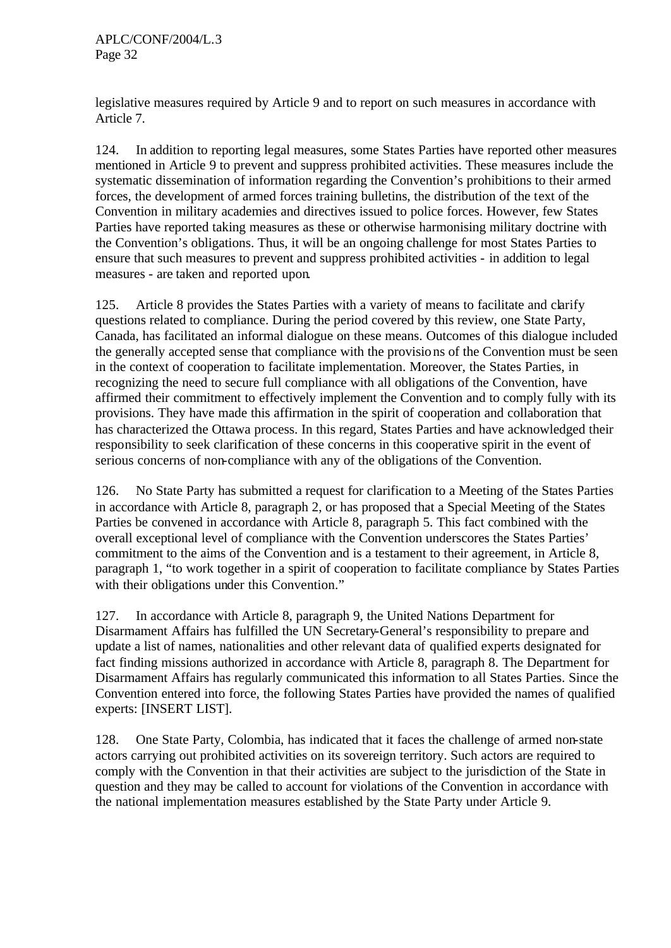legislative measures required by Article 9 and to report on such measures in accordance with Article 7.

124. In addition to reporting legal measures, some States Parties have reported other measures mentioned in Article 9 to prevent and suppress prohibited activities. These measures include the systematic dissemination of information regarding the Convention's prohibitions to their armed forces, the development of armed forces training bulletins, the distribution of the text of the Convention in military academies and directives issued to police forces. However, few States Parties have reported taking measures as these or otherwise harmonising military doctrine with the Convention's obligations. Thus, it will be an ongoing challenge for most States Parties to ensure that such measures to prevent and suppress prohibited activities - in addition to legal measures - are taken and reported upon.

125. Article 8 provides the States Parties with a variety of means to facilitate and clarify questions related to compliance. During the period covered by this review, one State Party, Canada, has facilitated an informal dialogue on these means. Outcomes of this dialogue included the generally accepted sense that compliance with the provisions of the Convention must be seen in the context of cooperation to facilitate implementation. Moreover, the States Parties, in recognizing the need to secure full compliance with all obligations of the Convention, have affirmed their commitment to effectively implement the Convention and to comply fully with its provisions. They have made this affirmation in the spirit of cooperation and collaboration that has characterized the Ottawa process. In this regard, States Parties and have acknowledged their responsibility to seek clarification of these concerns in this cooperative spirit in the event of serious concerns of non-compliance with any of the obligations of the Convention.

126. No State Party has submitted a request for clarification to a Meeting of the States Parties in accordance with Article 8, paragraph 2, or has proposed that a Special Meeting of the States Parties be convened in accordance with Article 8, paragraph 5. This fact combined with the overall exceptional level of compliance with the Convention underscores the States Parties' commitment to the aims of the Convention and is a testament to their agreement, in Article 8, paragraph 1, "to work together in a spirit of cooperation to facilitate compliance by States Parties with their obligations under this Convention."

127. In accordance with Article 8, paragraph 9, the United Nations Department for Disarmament Affairs has fulfilled the UN Secretary-General's responsibility to prepare and update a list of names, nationalities and other relevant data of qualified experts designated for fact finding missions authorized in accordance with Article 8, paragraph 8. The Department for Disarmament Affairs has regularly communicated this information to all States Parties. Since the Convention entered into force, the following States Parties have provided the names of qualified experts: [INSERT LIST].

128. One State Party, Colombia, has indicated that it faces the challenge of armed non-state actors carrying out prohibited activities on its sovereign territory. Such actors are required to comply with the Convention in that their activities are subject to the jurisdiction of the State in question and they may be called to account for violations of the Convention in accordance with the national implementation measures established by the State Party under Article 9.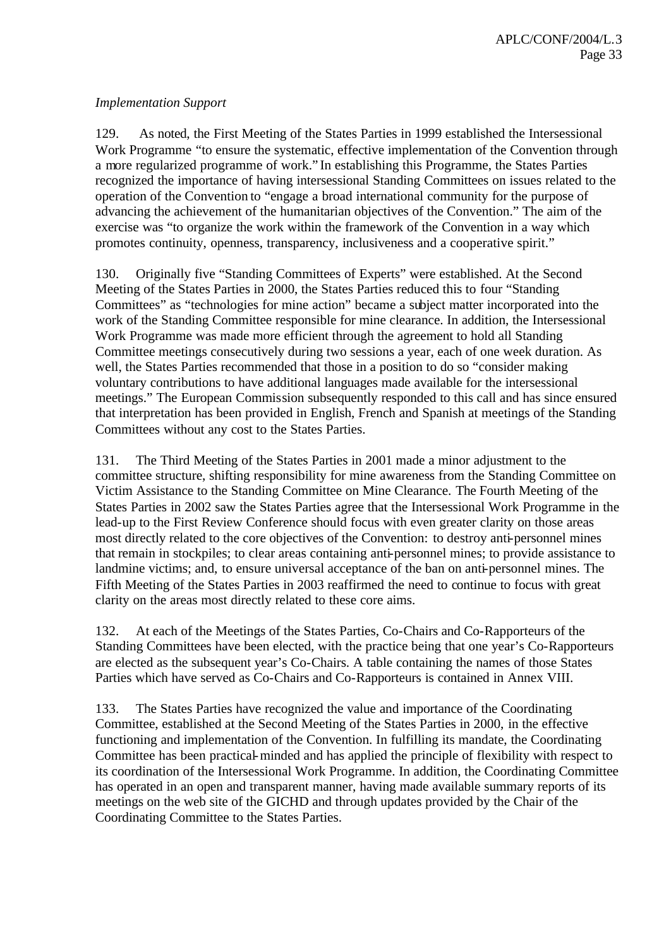## *Implementation Support*

129. As noted, the First Meeting of the States Parties in 1999 established the Intersessional Work Programme "to ensure the systematic, effective implementation of the Convention through a more regularized programme of work." In establishing this Programme, the States Parties recognized the importance of having intersessional Standing Committees on issues related to the operation of the Convention to "engage a broad international community for the purpose of advancing the achievement of the humanitarian objectives of the Convention." The aim of the exercise was "to organize the work within the framework of the Convention in a way which promotes continuity, openness, transparency, inclusiveness and a cooperative spirit."

130. Originally five "Standing Committees of Experts" were established. At the Second Meeting of the States Parties in 2000, the States Parties reduced this to four "Standing Committees" as "technologies for mine action" became a subject matter incorporated into the work of the Standing Committee responsible for mine clearance. In addition, the Intersessional Work Programme was made more efficient through the agreement to hold all Standing Committee meetings consecutively during two sessions a year, each of one week duration. As well, the States Parties recommended that those in a position to do so "consider making voluntary contributions to have additional languages made available for the intersessional meetings." The European Commission subsequently responded to this call and has since ensured that interpretation has been provided in English, French and Spanish at meetings of the Standing Committees without any cost to the States Parties.

131. The Third Meeting of the States Parties in 2001 made a minor adjustment to the committee structure, shifting responsibility for mine awareness from the Standing Committee on Victim Assistance to the Standing Committee on Mine Clearance. The Fourth Meeting of the States Parties in 2002 saw the States Parties agree that the Intersessional Work Programme in the lead-up to the First Review Conference should focus with even greater clarity on those areas most directly related to the core objectives of the Convention: to destroy anti-personnel mines that remain in stockpiles; to clear areas containing anti-personnel mines; to provide assistance to landmine victims; and, to ensure universal acceptance of the ban on anti-personnel mines. The Fifth Meeting of the States Parties in 2003 reaffirmed the need to continue to focus with great clarity on the areas most directly related to these core aims.

132. At each of the Meetings of the States Parties, Co-Chairs and Co-Rapporteurs of the Standing Committees have been elected, with the practice being that one year's Co-Rapporteurs are elected as the subsequent year's Co-Chairs. A table containing the names of those States Parties which have served as Co-Chairs and Co-Rapporteurs is contained in Annex VIII.

133. The States Parties have recognized the value and importance of the Coordinating Committee, established at the Second Meeting of the States Parties in 2000, in the effective functioning and implementation of the Convention. In fulfilling its mandate, the Coordinating Committee has been practical-minded and has applied the principle of flexibility with respect to its coordination of the Intersessional Work Programme. In addition, the Coordinating Committee has operated in an open and transparent manner, having made available summary reports of its meetings on the web site of the GICHD and through updates provided by the Chair of the Coordinating Committee to the States Parties.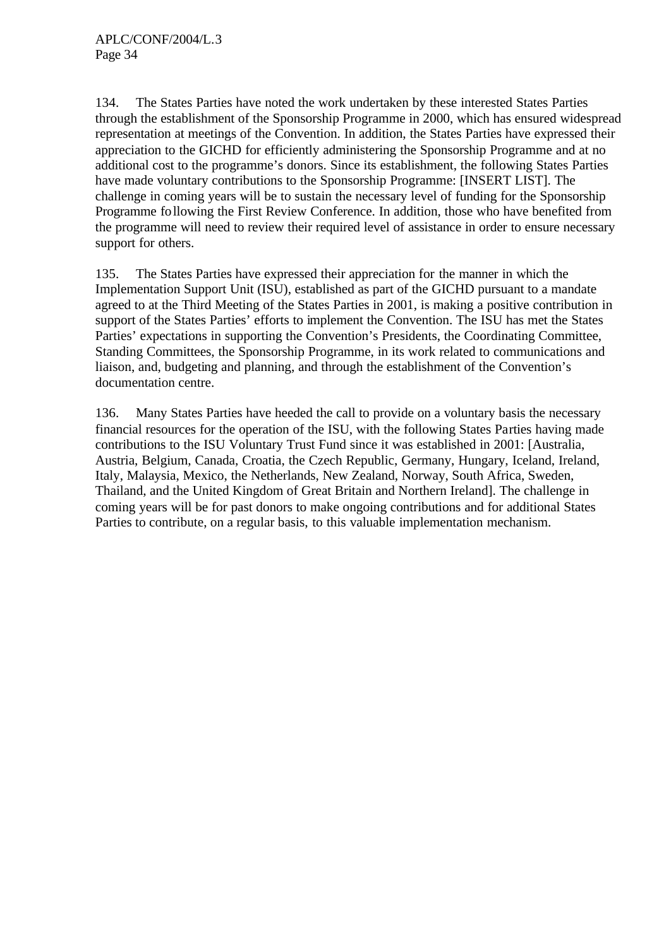134. The States Parties have noted the work undertaken by these interested States Parties through the establishment of the Sponsorship Programme in 2000, which has ensured widespread representation at meetings of the Convention. In addition, the States Parties have expressed their appreciation to the GICHD for efficiently administering the Sponsorship Programme and at no additional cost to the programme's donors. Since its establishment, the following States Parties have made voluntary contributions to the Sponsorship Programme: [INSERT LIST]. The challenge in coming years will be to sustain the necessary level of funding for the Sponsorship Programme following the First Review Conference. In addition, those who have benefited from the programme will need to review their required level of assistance in order to ensure necessary support for others.

135. The States Parties have expressed their appreciation for the manner in which the Implementation Support Unit (ISU), established as part of the GICHD pursuant to a mandate agreed to at the Third Meeting of the States Parties in 2001, is making a positive contribution in support of the States Parties' efforts to implement the Convention. The ISU has met the States Parties' expectations in supporting the Convention's Presidents, the Coordinating Committee, Standing Committees, the Sponsorship Programme, in its work related to communications and liaison, and, budgeting and planning, and through the establishment of the Convention's documentation centre.

136. Many States Parties have heeded the call to provide on a voluntary basis the necessary financial resources for the operation of the ISU, with the following States Parties having made contributions to the ISU Voluntary Trust Fund since it was established in 2001: [Australia, Austria, Belgium, Canada, Croatia, the Czech Republic, Germany, Hungary, Iceland, Ireland, Italy, Malaysia, Mexico, the Netherlands, New Zealand, Norway, South Africa, Sweden, Thailand, and the United Kingdom of Great Britain and Northern Ireland]. The challenge in coming years will be for past donors to make ongoing contributions and for additional States Parties to contribute, on a regular basis, to this valuable implementation mechanism.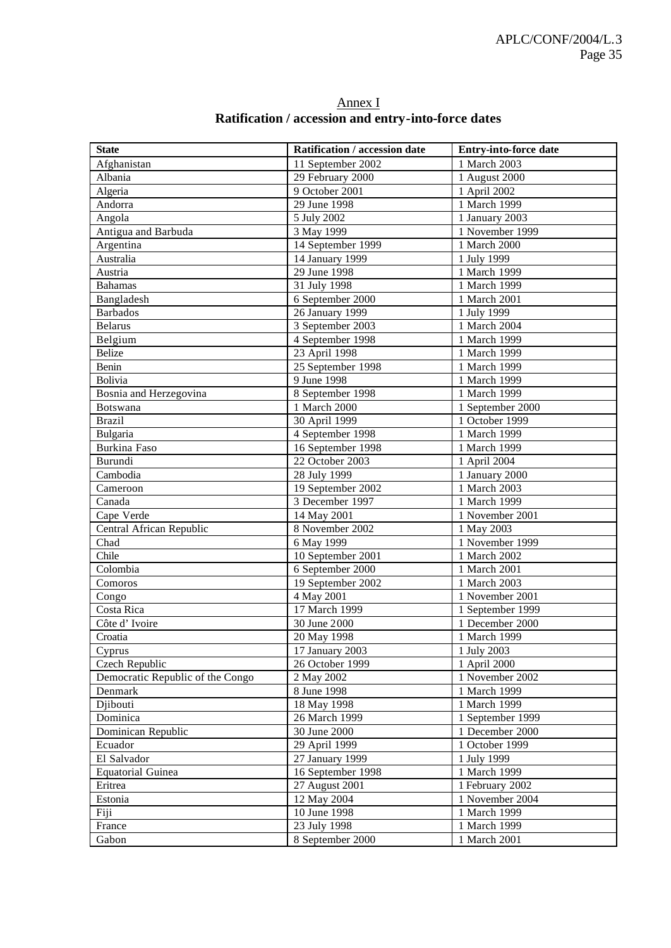| <b>State</b>                     | Ratification / accession date | Entry-into-force date |
|----------------------------------|-------------------------------|-----------------------|
| Afghanistan                      | 11 September 2002             | 1 March 2003          |
| Albania                          | 29 February 2000              | 1 August $2000$       |
| Algeria                          | 9 October 2001                | 1 April 2002          |
| Andorra                          | 29 June 1998                  | 1 March 1999          |
| Angola                           | 5 July 2002                   | 1 January 2003        |
| Antigua and Barbuda              | 3 May 1999                    | 1 November 1999       |
| Argentina                        | 14 September 1999             | 1 March 2000          |
| Australia                        | 14 January 1999               | 1 July 1999           |
| Austria                          | 29 June 1998                  | 1 March 1999          |
| <b>Bahamas</b>                   | 31 July 1998                  | 1 March 1999          |
| Bangladesh                       | 6 September 2000              | 1 March 2001          |
| <b>Barbados</b>                  | 26 January 1999               | 1 July 1999           |
| <b>Belarus</b>                   | 3 September 2003              | 1 March 2004          |
| Belgium                          | 4 September 1998              | 1 March 1999          |
| <b>Belize</b>                    | 23 April 1998                 | 1 March 1999          |
| Benin                            | 25 September 1998             | 1 March 1999          |
| <b>Bolivia</b>                   | 9 June 1998                   | 1 March 1999          |
| Bosnia and Herzegovina           | 8 September 1998              | 1 March 1999          |
| <b>Botswana</b>                  | 1 March 2000                  | 1 September 2000      |
| <b>Brazil</b>                    | 30 April 1999                 | 1 October 1999        |
| Bulgaria                         | 4 September 1998              | 1 March 1999          |
| Burkina Faso                     | 16 September 1998             | 1 March 1999          |
| Burundi                          | 22 October 2003               | 1 April 2004          |
| Cambodia                         | 28 July 1999                  | 1 January 2000        |
| Cameroon                         | 19 September 2002             | 1 March 2003          |
| Canada                           | 3 December 1997               | 1 March 1999          |
| Cape Verde                       | 14 May 2001                   | 1 November 2001       |
| Central African Republic         | 8 November 2002               | 1 May 2003            |
| Chad                             | 6 May 1999                    | 1 November 1999       |
| Chile                            | 10 September 2001             | 1 March 2002          |
| Colombia                         | 6 September 2000              | 1 March 2001          |
| Comoros                          | 19 September 2002             | 1 March 2003          |
| Congo                            | 4 May 2001                    | 1 November 2001       |
| Costa Rica                       | 17 March 1999                 | 1 September 1999      |
| Côte d'Ivoire                    | 30 June 2000                  | 1 December 2000       |
| Croatia                          | 20 May 1998                   | 1 March 1999          |
| Cyprus                           | 17 January 2003               | 1 July 2003           |
| Czech Republic                   | 26 October 1999               | 1 April 2000          |
| Democratic Republic of the Congo | 2 May 2002                    | 1 November 2002       |
| Denmark                          | 8 June 1998                   | 1 March 1999          |
| Djibouti                         | 18 May 1998                   | 1 March 1999          |
| Dominica                         | 26 March 1999                 | 1 September 1999      |
| Dominican Republic               | 30 June 2000                  | 1 December 2000       |
| Ecuador                          | 29 April 1999                 | 1 October 1999        |
| El Salvador                      | 27 January 1999               | 1 July 1999           |
| <b>Equatorial Guinea</b>         | 16 September 1998             | 1 March 1999          |
| Eritrea                          | 27 August 2001                | 1 February 2002       |
| Estonia                          | 12 May 2004                   | 1 November 2004       |
| Fiji                             | 10 June 1998                  | 1 March 1999          |
| France                           | 23 July 1998                  | 1 March 1999          |
| Gabon                            | 8 September 2000              | 1 March 2001          |

#### Annex I **Ratification / accession and entry-into-force dates**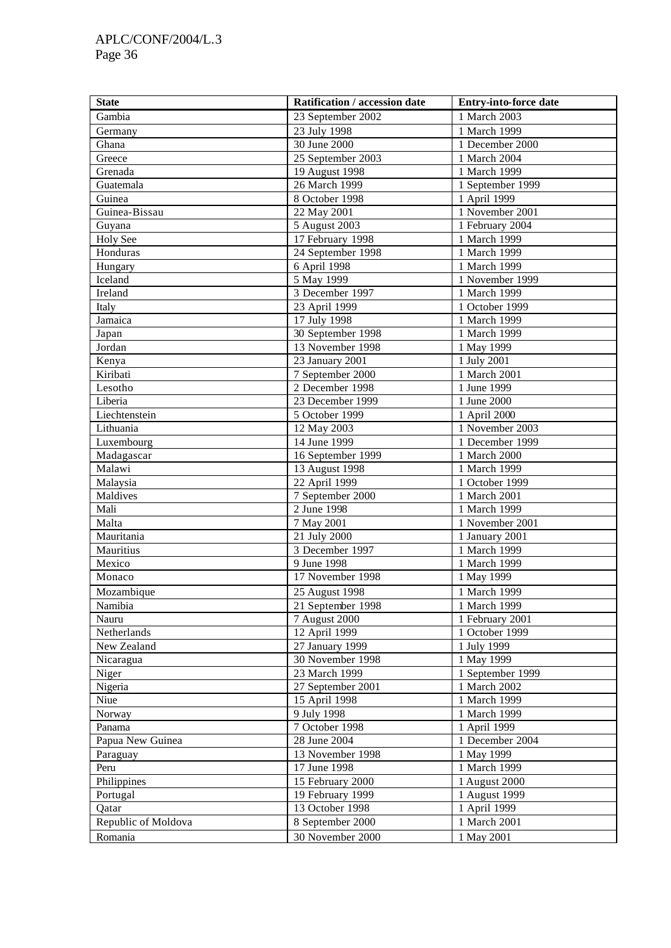# APLC/CONF/2004/L.3 Page 36

| <b>State</b>        | Ratification / accession date   | Entry-into-force date             |
|---------------------|---------------------------------|-----------------------------------|
| Gambia              | 23 September 2002               | 1 March 2003                      |
| Germany             | 23 July 1998                    | 1 March 1999                      |
| Ghana               | 30 June 2000                    | 1 December 2000                   |
| Greece              | 25 September 2003               | 1 March 2004                      |
| Grenada             | 19 August 1998                  | 1 March 1999                      |
| Guatemala           | 26 March 1999                   | 1 September 1999                  |
| Guinea              | 8 October 1998                  | 1 April 1999                      |
| Guinea-Bissau       | 22 May 2001                     | 1 November 2001                   |
| Guyana              | 5 August 2003                   | 1 February 2004                   |
| Holy See            | 17 February 1998                | 1 March 1999                      |
| Honduras            | 24 September 1998               | 1 March 1999                      |
| Hungary             | 6 April 1998                    | 1 March 1999                      |
| Iceland             | 5 May 1999                      | 1 November 1999                   |
| Ireland             | 3 December 1997                 | 1 March 1999                      |
| Italy               | 23 April 1999                   | 1 October 1999                    |
| Jamaica             | 17 July 1998                    | 1 March 1999                      |
| Japan               | 30 September 1998               | 1 March 1999                      |
| Jordan              | 13 November 1998                | 1 May 1999                        |
| Kenya               | 23 January 2001                 | 1 July 2001                       |
| Kiribati            | 7 September 2000                | 1 March 2001                      |
| Lesotho             | 2 December 1998                 | 1 June 1999                       |
| Liberia             | 23 December 1999                | 1 June 2000                       |
| Liechtenstein       | 5 October 1999                  | 1 April 2000                      |
| Lithuania           | 12 May 2003                     | 1 November 2003                   |
| Luxembourg          | 14 June 1999                    | 1 December 1999                   |
| Madagascar          | 16 September 1999               | 1 March 2000                      |
| Malawi              | 13 August 1998                  | 1 March 1999                      |
| Malaysia            | 22 April 1999                   | 1 October 1999                    |
| Maldives            | 7 September 2000                | 1 March 2001                      |
| Mali                | 2 June 1998                     | 1 March 1999                      |
| Malta               | 7 May 2001                      | 1 November 2001                   |
| Mauritania          | 21 July 2000                    | 1 January 2001                    |
| Mauritius           | 3 December 1997                 | 1 March 1999                      |
| Mexico<br>Monaco    | 9 June 1998<br>17 November 1998 | 1 March 1999<br>1 May 1999        |
|                     |                                 |                                   |
| Mozambique          | 25 August 1998                  | 1 March 1999                      |
| Namibia<br>Nauru    | 21 September 1998               | 1 March 1999                      |
| Netherlands         | 7 August 2000<br>12 April 1999  | 1 February 2001<br>1 October 1999 |
| New Zealand         | 27 January 1999                 | $\overline{1}$ July 1999          |
| Nicaragua           | 30 November 1998                | 1 May 1999                        |
| Niger               | 23 March 1999                   | 1 September 1999                  |
| Nigeria             | 27 September 2001               | 1 March 2002                      |
| Niue                | 15 April 1998                   | 1 March 1999                      |
| Norway              | 9 July 1998                     | 1 March 1999                      |
| Panama              | 7 October 1998                  | 1 April 1999                      |
| Papua New Guinea    | 28 June 2004                    | 1 December 2004                   |
| Paraguay            | 13 November 1998                | 1 May 1999                        |
| Peru                | 17 June 1998                    | 1 March 1999                      |
| Philippines         | 15 February 2000                | 1 August 2000                     |
| Portugal            | 19 February 1999                | 1 August 1999                     |
| Qatar               | 13 October 1998                 | 1 April 1999                      |
| Republic of Moldova | 8 September 2000                | 1 March 2001                      |
| Romania             | 30 November 2000                | 1 May 2001                        |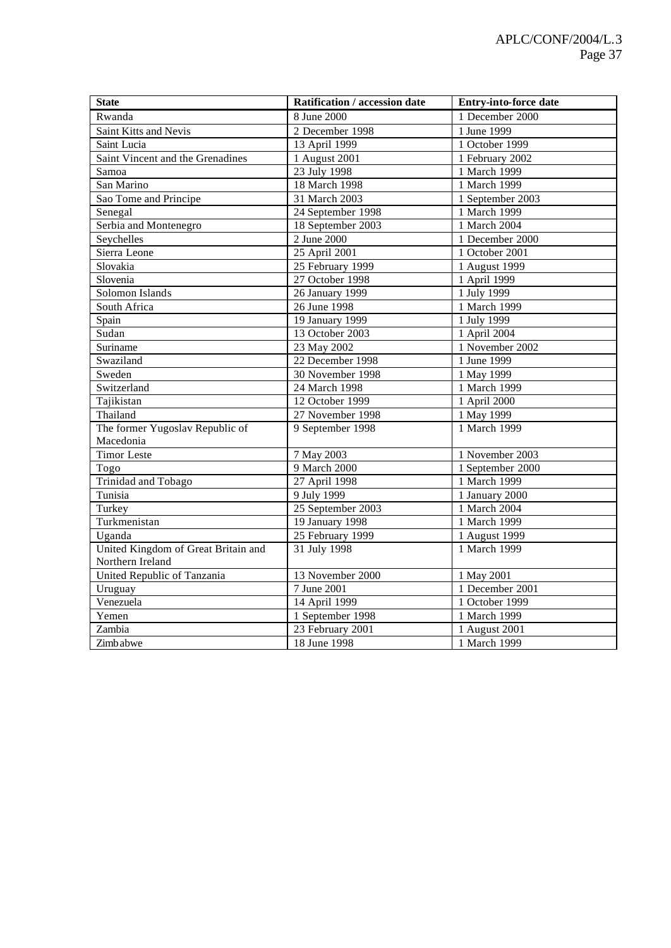| <b>State</b>                        | Ratification / accession date | <b>Entry-into-force date</b> |
|-------------------------------------|-------------------------------|------------------------------|
| Rwanda                              | 8 June 2000                   | 1 December 2000              |
| Saint Kitts and Nevis               | 2 December 1998               | 1 June 1999                  |
| Saint Lucia                         | 13 April 1999                 | 1 October 1999               |
| Saint Vincent and the Grenadines    | 1 August 2001                 | 1 February 2002              |
| Samoa                               | 23 July 1998                  | 1 March 1999                 |
| San Marino                          | 18 March 1998                 | 1 March 1999                 |
| Sao Tome and Principe               | 31 March 2003                 | 1 September 2003             |
| Senegal                             | 24 September 1998             | 1 March 1999                 |
| Serbia and Montenegro               | 18 September 2003             | 1 March 2004                 |
| Seychelles                          | 2 June 2000                   | 1 December 2000              |
| Sierra Leone                        | 25 April 2001                 | 1 October 2001               |
| Slovakia                            | 25 February 1999              | 1 August 1999                |
| Slovenia                            | 27 October 1998               | 1 April 1999                 |
| Solomon Islands                     | 26 January 1999               | 1 July 1999                  |
| South Africa                        | 26 June 1998                  | 1 March 1999                 |
| Spain                               | 19 January 1999               | 1 July 1999                  |
| Sudan                               | 13 October 2003               | 1 April 2004                 |
| Suriname                            | 23 May 2002                   | 1 November 2002              |
| Swaziland                           | 22 December 1998              | 1 June 1999                  |
| Sweden                              | 30 November 1998              | 1 May 1999                   |
| Switzerland                         | 24 March 1998                 | 1 March 1999                 |
| Tajikistan                          | 12 October 1999               | 1 April 2000                 |
| Thailand                            | 27 November 1998              | 1 May 1999                   |
| The former Yugoslav Republic of     | 9 September 1998              | 1 March 1999                 |
| Macedonia                           |                               |                              |
| <b>Timor Leste</b>                  | 7 May 2003                    | 1 November 2003              |
| Togo                                | 9 March 2000                  | 1 September 2000             |
| Trinidad and Tobago                 | 27 April 1998                 | 1 March 1999                 |
| Tunisia                             | 9 July 1999                   | 1 January 2000               |
| Turkey                              | 25 September 2003             | 1 March 2004                 |
| Turkmenistan                        | 19 January 1998               | 1 March 1999                 |
| Uganda                              | 25 February 1999              | 1 August 1999                |
| United Kingdom of Great Britain and | 31 July 1998                  | 1 March 1999                 |
| Northern Ireland                    |                               |                              |
| United Republic of Tanzania         | 13 November 2000              | 1 May 2001                   |
| Uruguay                             | 7 June 2001                   | 1 December 2001              |
| Venezuela                           | 14 April 1999                 | 1 October 1999               |
| Yemen                               | 1 September 1998              | 1 March 1999                 |
| Zambia                              | 23 February 2001              | 1 August 2001                |
| Zimb abwe                           | 18 June 1998                  | 1 March 1999                 |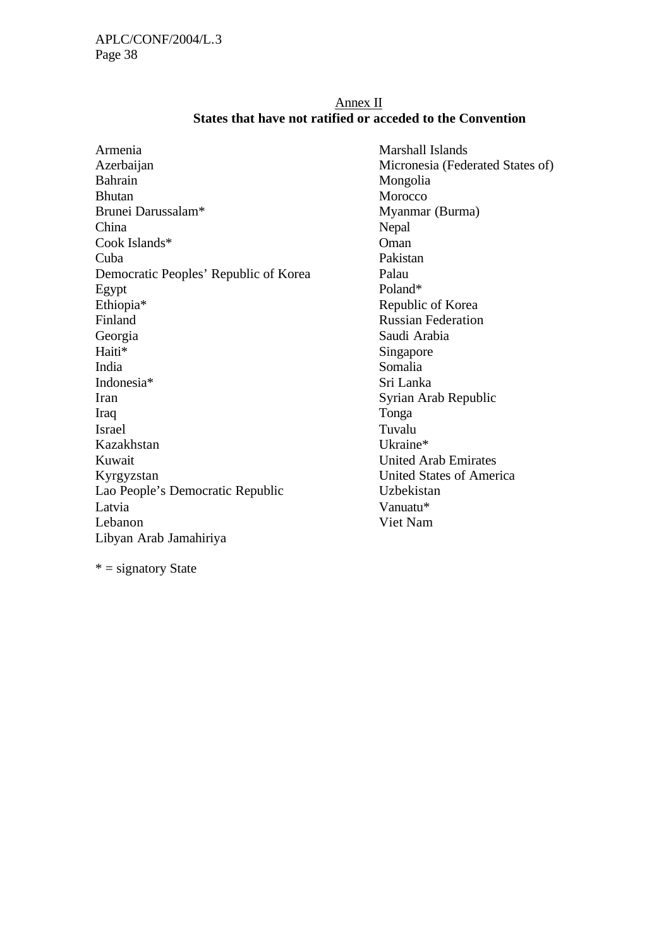#### Annex II **States that have not ratified or acceded to the Convention**

| Armenia                               | Marshall Islands        |
|---------------------------------------|-------------------------|
| Azerbaijan                            | Micronesia (Fede        |
| <b>Bahrain</b>                        | Mongolia                |
| <b>Bhutan</b>                         | Morocco                 |
| Brunei Darussalam*                    | Myanmar (Burma          |
| China                                 | Nepal                   |
| Cook Islands*                         | Oman                    |
| Cuba                                  | Pakistan                |
| Democratic Peoples' Republic of Korea | Palau                   |
| Egypt                                 | Poland*                 |
| Ethiopia*                             | Republic of Kore        |
| Finland                               | <b>Russian Federati</b> |
| Georgia                               | Saudi Arabia            |
| Haiti*                                | Singapore               |
| India                                 | Somalia                 |
| Indonesia*                            | Sri Lanka               |
| Iran                                  | Syrian Arab Rep         |
| Iraq                                  | Tonga                   |
| <b>Israel</b>                         | Tuvalu                  |
| Kazakhstan                            | Ukraine*                |
| Kuwait                                | <b>United Arab Emi</b>  |
| Kyrgyzstan                            | United States of .      |
| Lao People's Democratic Republic      | Uzbekistan              |
| Latvia                                | Vanuatu*                |
| Lebanon                               | Viet Nam                |
| Libyan Arab Jamahiriya                |                         |
|                                       |                         |

 $* =$  signatory State

(Federated States of) (Burma) of Korea deration )ia ab Republic b Emirates tes of America Uzbekistan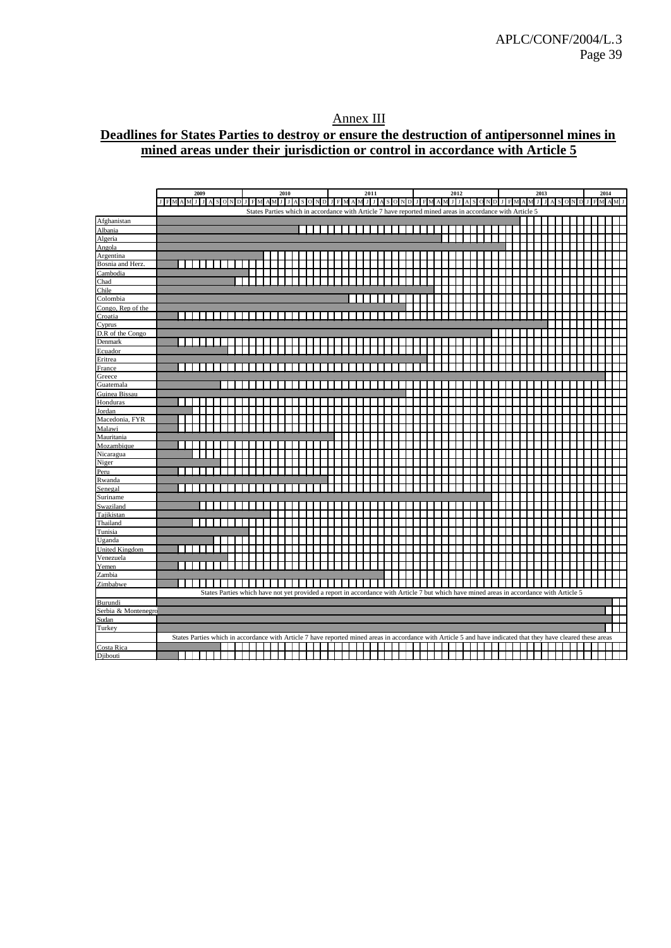## Annex III **Deadlines for States Parties to destroy or ensure the destruction of antipersonnel mines in mined areas under their jurisdiction or control in accordance with Article 5**

|                               | 2009<br>2010<br>2011<br>2012<br>2013<br>2014                                                                                                                   |     |
|-------------------------------|----------------------------------------------------------------------------------------------------------------------------------------------------------------|-----|
|                               | J F M A M J J A S ON D J F M A M J J A S ON D J F M A M J J A S ON D J F M A M J J A S ON D J F M A M<br>$F$ M A M J<br>лI<br>JASONDJ                          |     |
|                               | States Parties which in accordance with Article 7 have reported mined areas in accordance with Article 5                                                       |     |
| Afghanistan                   |                                                                                                                                                                |     |
| Albania                       |                                                                                                                                                                |     |
| Algeria                       |                                                                                                                                                                |     |
| Angola                        |                                                                                                                                                                |     |
|                               |                                                                                                                                                                |     |
| Argentina<br>Bosnia and Herz. | .                                                                                                                                                              |     |
| Cambodia                      |                                                                                                                                                                |     |
| Chad                          |                                                                                                                                                                |     |
| Chile                         |                                                                                                                                                                |     |
| Colombia                      |                                                                                                                                                                |     |
| Congo, Rep of the             |                                                                                                                                                                |     |
| Croatia                       | $\Box$                                                                                                                                                         |     |
| Cyprus                        |                                                                                                                                                                |     |
| D.R of the Congo              |                                                                                                                                                                |     |
| Denmark                       |                                                                                                                                                                |     |
| Ecuador                       |                                                                                                                                                                |     |
| Eritrea                       |                                                                                                                                                                |     |
| France                        | $\mathbf{L}$                                                                                                                                                   |     |
| Greece                        |                                                                                                                                                                |     |
| Guatemala                     |                                                                                                                                                                |     |
| Guinea Bissau                 |                                                                                                                                                                |     |
| Honduras                      |                                                                                                                                                                |     |
| Jordan                        |                                                                                                                                                                |     |
| Macedonia, FYR                |                                                                                                                                                                |     |
| Malawi                        |                                                                                                                                                                |     |
| Mauritania                    |                                                                                                                                                                |     |
| Mozambique                    |                                                                                                                                                                |     |
| Nicaragua                     |                                                                                                                                                                |     |
| Niger                         |                                                                                                                                                                |     |
| Peru                          |                                                                                                                                                                |     |
| Rwanda                        |                                                                                                                                                                |     |
| Senegal                       |                                                                                                                                                                |     |
| Suriname                      |                                                                                                                                                                |     |
| Swaziland                     |                                                                                                                                                                |     |
| Tajikistan                    |                                                                                                                                                                |     |
| Thailand                      |                                                                                                                                                                |     |
| Tunisia                       |                                                                                                                                                                |     |
| Uganda                        |                                                                                                                                                                |     |
| <b>United Kingdom</b>         |                                                                                                                                                                |     |
| Venezuela                     |                                                                                                                                                                |     |
| Yemen                         |                                                                                                                                                                |     |
| Zambia                        |                                                                                                                                                                |     |
| Zimbabwe                      |                                                                                                                                                                |     |
|                               | States Parties which have not yet provided a report in accordance with Article 7 but which have mined areas in accordance with Article 5                       |     |
| Burundi                       |                                                                                                                                                                |     |
| Serbia & Montenegro           |                                                                                                                                                                | - 1 |
| Sudan                         |                                                                                                                                                                |     |
| Turkey                        |                                                                                                                                                                |     |
|                               | States Parties which in accordance with Article 7 have reported mined areas in accordance with Article 5 and have indicated that they have cleared these areas |     |
| Costa Rica                    |                                                                                                                                                                |     |
| Djibouti                      |                                                                                                                                                                |     |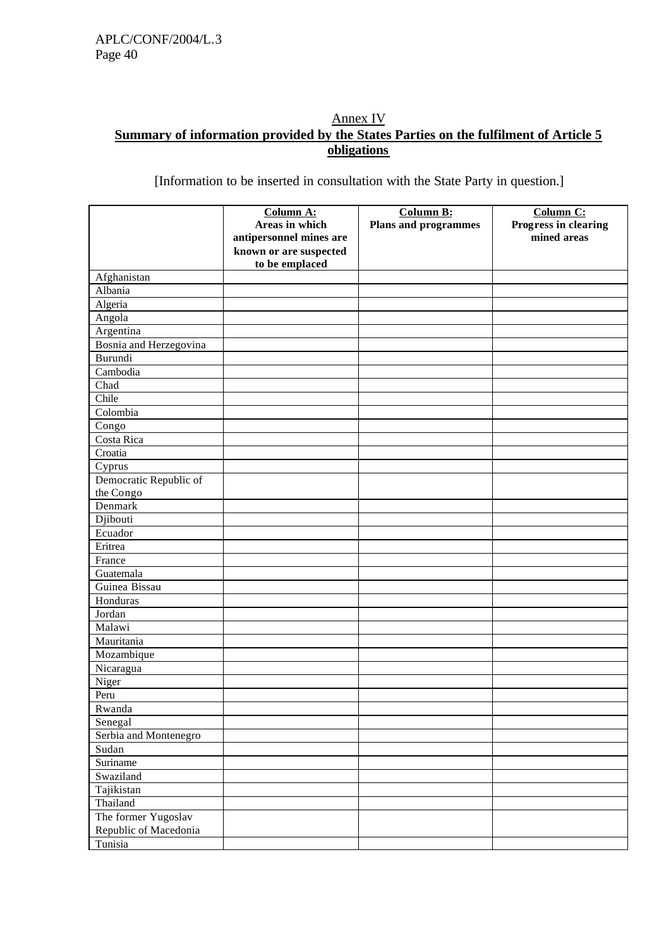## Annex IV **Summary of information provided by the States Parties on the fulfilment of Article 5 obligations**

[Information to be inserted in consultation with the State Party in question.]

|                        | Column A:               | <b>Column B:</b>            | Column C:            |
|------------------------|-------------------------|-----------------------------|----------------------|
|                        | Areas in which          | <b>Plans and programmes</b> | Progress in clearing |
|                        | antipersonnel mines are |                             | mined areas          |
|                        | known or are suspected  |                             |                      |
| Afghanistan            | to be emplaced          |                             |                      |
| Albania                |                         |                             |                      |
| Algeria                |                         |                             |                      |
| Angola                 |                         |                             |                      |
| Argentina              |                         |                             |                      |
| Bosnia and Herzegovina |                         |                             |                      |
| Burundi                |                         |                             |                      |
| Cambodia               |                         |                             |                      |
| Chad                   |                         |                             |                      |
| Chile                  |                         |                             |                      |
| Colombia               |                         |                             |                      |
| Congo                  |                         |                             |                      |
| Costa Rica             |                         |                             |                      |
| Croatia                |                         |                             |                      |
| Cyprus                 |                         |                             |                      |
| Democratic Republic of |                         |                             |                      |
| the Congo              |                         |                             |                      |
| Denmark                |                         |                             |                      |
| Djibouti               |                         |                             |                      |
| Ecuador                |                         |                             |                      |
| Eritrea                |                         |                             |                      |
| France                 |                         |                             |                      |
| Guatemala              |                         |                             |                      |
| Guinea Bissau          |                         |                             |                      |
| Honduras               |                         |                             |                      |
| Jordan                 |                         |                             |                      |
| Malawi                 |                         |                             |                      |
| Mauritania             |                         |                             |                      |
| Mozambique             |                         |                             |                      |
| Nicaragua              |                         |                             |                      |
| Niger                  |                         |                             |                      |
| Peru                   |                         |                             |                      |
| Rwanda                 |                         |                             |                      |
| Senegal                |                         |                             |                      |
| Serbia and Montenegro  |                         |                             |                      |
| Sudan                  |                         |                             |                      |
| Suriname               |                         |                             |                      |
| Swaziland              |                         |                             |                      |
| Tajikistan             |                         |                             |                      |
| Thailand               |                         |                             |                      |
| The former Yugoslav    |                         |                             |                      |
| Republic of Macedonia  |                         |                             |                      |
| Tunisia                |                         |                             |                      |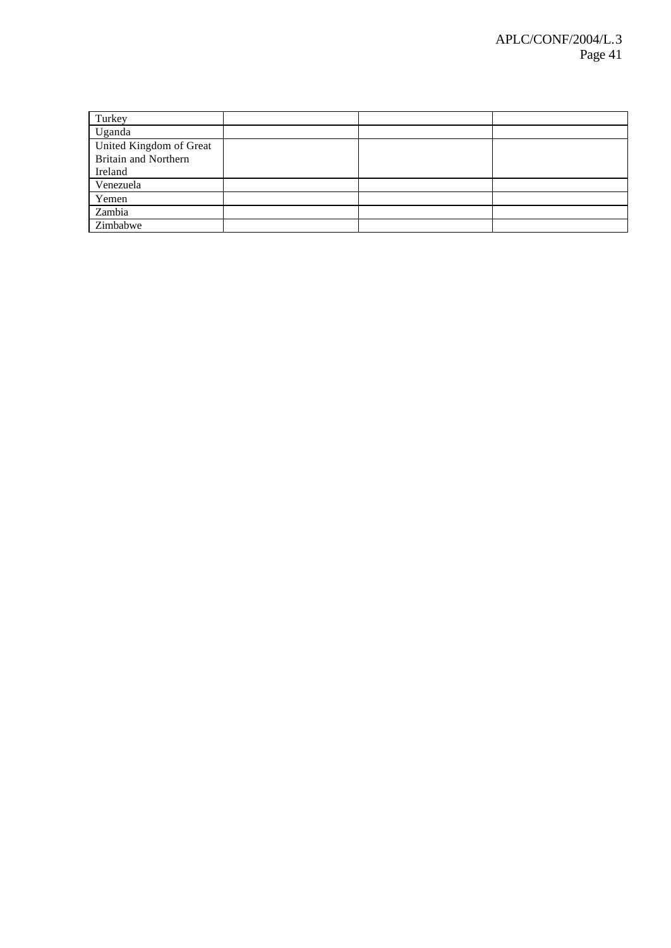| Turkey                      |  |  |
|-----------------------------|--|--|
| Uganda                      |  |  |
| United Kingdom of Great     |  |  |
| <b>Britain and Northern</b> |  |  |
| Ireland                     |  |  |
| Venezuela                   |  |  |
| Yemen                       |  |  |
| Zambia                      |  |  |
| Zimbabwe                    |  |  |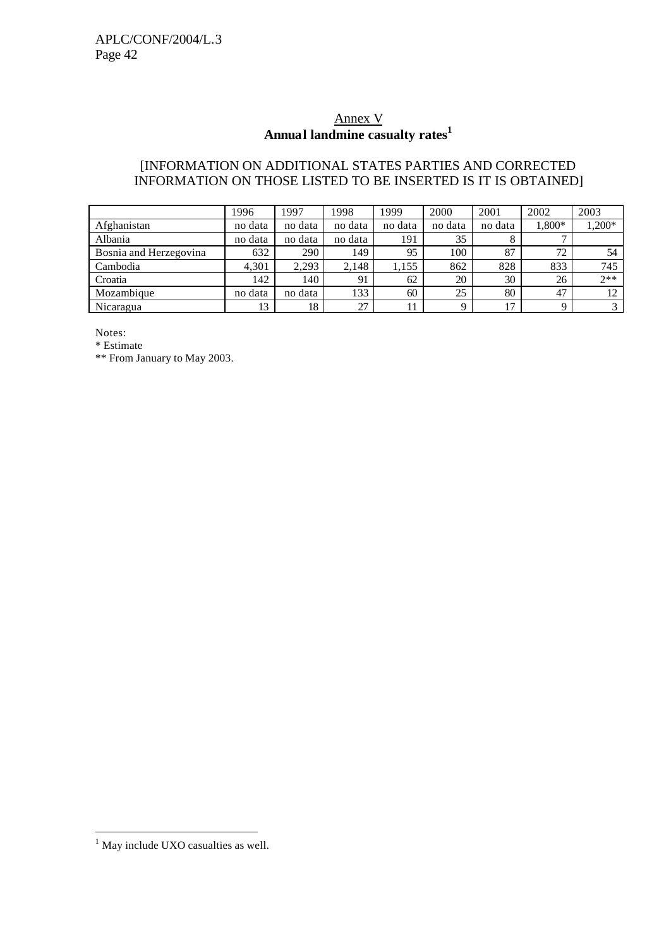# Annex V **Annual landmine casualty rates<sup>1</sup>**

## [INFORMATION ON ADDITIONAL STATES PARTIES AND CORRECTED INFORMATION ON THOSE LISTED TO BE INSERTED IS IT IS OBTAINED]

|                        | 1996    | 1997    | 1998    | 1999    | 2000     | 2001    | 2002     | 2003     |
|------------------------|---------|---------|---------|---------|----------|---------|----------|----------|
| Afghanistan            | no data | no data | no data | no data | no data  | no data | $1,800*$ | $0.200*$ |
| Albania                | no data | no data | no data | 191     | 35       |         |          |          |
| Bosnia and Herzegovina | 632     | 290     | 149     | 95      | 100      | 87      | 72       | 54       |
| Cambodia               | 4,301   | 2.293   | 2.148   | 1,155   | 862      | 828     | 833      | 745      |
| Croatia                | 142     | 140     | 91      | 62      | 20       | 30      | 26       | $2**$    |
| Mozambique             | no data | no data | 133     | 60      | 25       | 80      | 47       | 12       |
| Nicaragua              | 13      | 18      | 27      |         | $\Omega$ | 17      | Q        |          |

Notes:

\* Estimate

\*\* From January to May 2003.

l

 $<sup>1</sup>$  May include UXO casualties as well.</sup>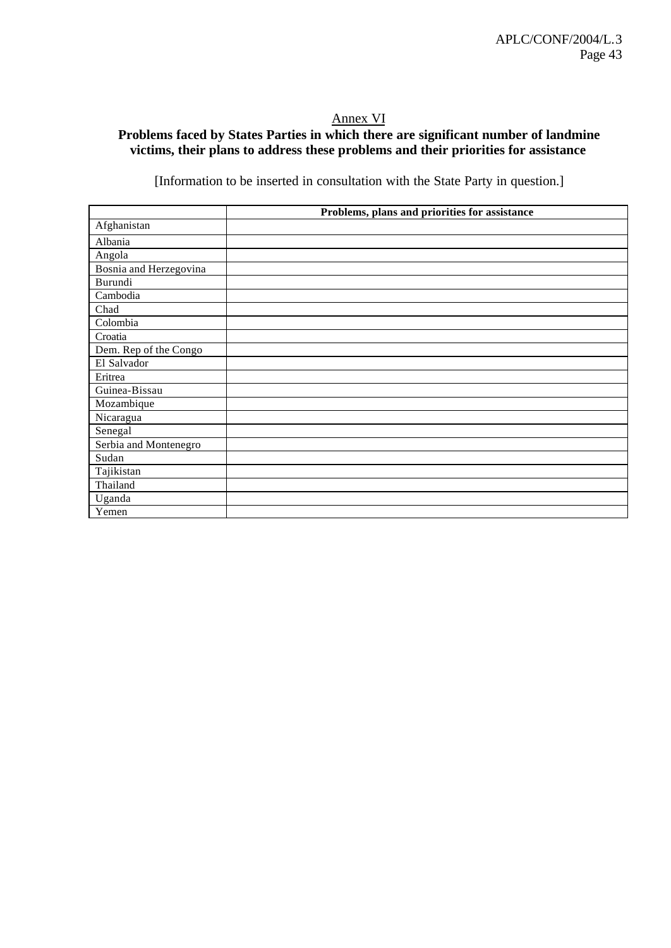# Annex VI

## **Problems faced by States Parties in which there are significant number of landmine victims, their plans to address these problems and their priorities for assistance**

[Information to be inserted in consultation with the State Party in question.]

|                        | Problems, plans and priorities for assistance |
|------------------------|-----------------------------------------------|
| Afghanistan            |                                               |
| Albania                |                                               |
| Angola                 |                                               |
| Bosnia and Herzegovina |                                               |
| Burundi                |                                               |
| Cambodia               |                                               |
| Chad                   |                                               |
| Colombia               |                                               |
| Croatia                |                                               |
| Dem. Rep of the Congo  |                                               |
| El Salvador            |                                               |
| Eritrea                |                                               |
| Guinea-Bissau          |                                               |
| Mozambique             |                                               |
| Nicaragua              |                                               |
| Senegal                |                                               |
| Serbia and Montenegro  |                                               |
| Sudan                  |                                               |
| Tajikistan             |                                               |
| Thailand               |                                               |
| Uganda                 |                                               |
| Yemen                  |                                               |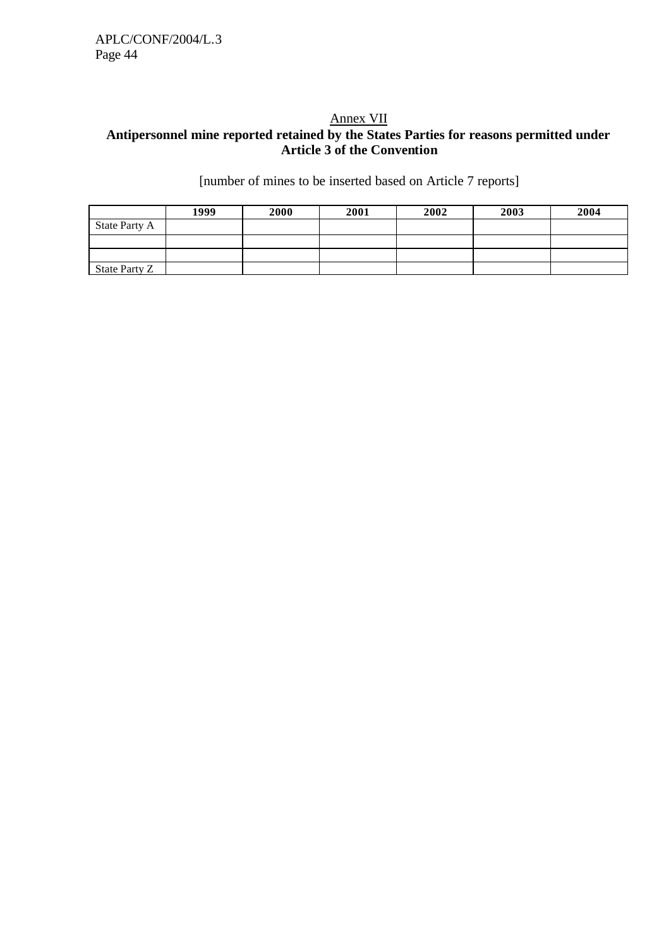#### Annex VII **Antipersonnel mine reported retained by the States Parties for reasons permitted under Article 3 of the Convention**

[number of mines to be inserted based on Article 7 reports]

|               | 1999 | 2000 | 2001 | 2002 | 2003 | 2004 |
|---------------|------|------|------|------|------|------|
| State Party A |      |      |      |      |      |      |
|               |      |      |      |      |      |      |
|               |      |      |      |      |      |      |
| State Party Z |      |      |      |      |      |      |